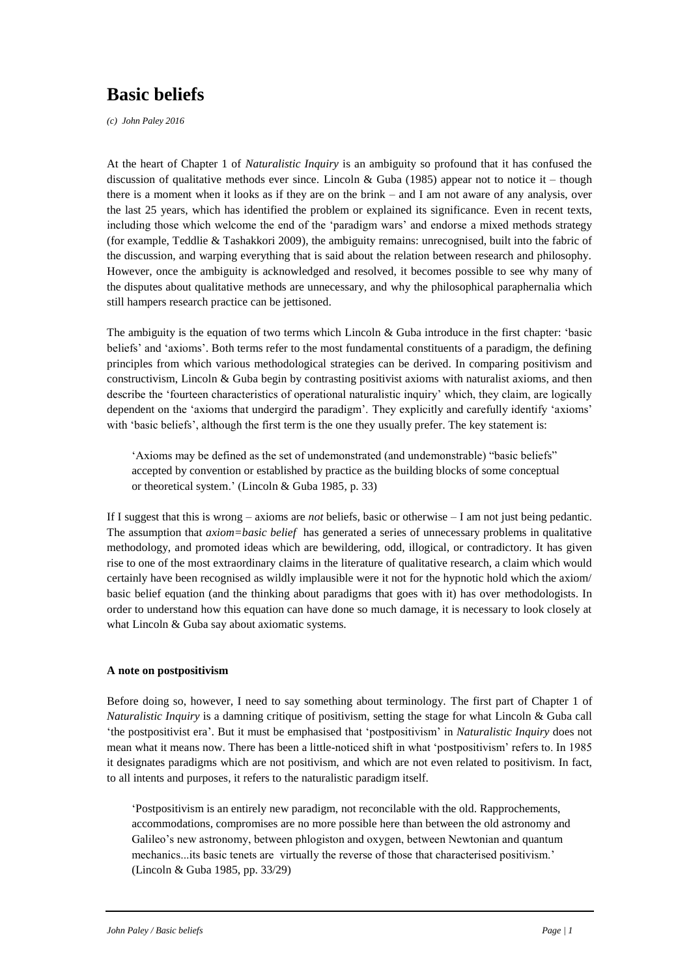# **Basic beliefs**

*(c) John Paley 2016*

At the heart of Chapter 1 of *Naturalistic Inquiry* is an ambiguity so profound that it has confused the discussion of qualitative methods ever since. Lincoln & Guba (1985) appear not to notice it – though there is a moment when it looks as if they are on the brink – and I am not aware of any analysis, over the last 25 years, which has identified the problem or explained its significance. Even in recent texts, including those which welcome the end of the 'paradigm wars' and endorse a mixed methods strategy (for example, Teddlie & Tashakkori 2009), the ambiguity remains: unrecognised, built into the fabric of the discussion, and warping everything that is said about the relation between research and philosophy. However, once the ambiguity is acknowledged and resolved, it becomes possible to see why many of the disputes about qualitative methods are unnecessary, and why the philosophical paraphernalia which still hampers research practice can be jettisoned.

The ambiguity is the equation of two terms which Lincoln & Guba introduce in the first chapter: 'basic beliefs' and 'axioms'. Both terms refer to the most fundamental constituents of a paradigm, the defining principles from which various methodological strategies can be derived. In comparing positivism and constructivism, Lincoln & Guba begin by contrasting positivist axioms with naturalist axioms, and then describe the 'fourteen characteristics of operational naturalistic inquiry' which, they claim, are logically dependent on the 'axioms that undergird the paradigm'. They explicitly and carefully identify 'axioms' with 'basic beliefs', although the first term is the one they usually prefer. The key statement is:

'Axioms may be defined as the set of undemonstrated (and undemonstrable) "basic beliefs" accepted by convention or established by practice as the building blocks of some conceptual or theoretical system.' (Lincoln & Guba 1985, p. 33)

If I suggest that this is wrong – axioms are *not* beliefs, basic or otherwise – I am not just being pedantic. The assumption that *axiom=basic belief* has generated a series of unnecessary problems in qualitative methodology, and promoted ideas which are bewildering, odd, illogical, or contradictory. It has given rise to one of the most extraordinary claims in the literature of qualitative research, a claim which would certainly have been recognised as wildly implausible were it not for the hypnotic hold which the axiom/ basic belief equation (and the thinking about paradigms that goes with it) has over methodologists. In order to understand how this equation can have done so much damage, it is necessary to look closely at what Lincoln & Guba say about axiomatic systems.

## **A note on postpositivism**

Before doing so, however, I need to say something about terminology. The first part of Chapter 1 of *Naturalistic Inquiry* is a damning critique of positivism, setting the stage for what Lincoln & Guba call 'the postpositivist era'. But it must be emphasised that 'postpositivism' in *Naturalistic Inquiry* does not mean what it means now. There has been a little-noticed shift in what 'postpositivism' refers to. In 1985 it designates paradigms which are not positivism, and which are not even related to positivism. In fact, to all intents and purposes, it refers to the naturalistic paradigm itself.

'Postpositivism is an entirely new paradigm, not reconcilable with the old. Rapprochements, accommodations, compromises are no more possible here than between the old astronomy and Galileo's new astronomy, between phlogiston and oxygen, between Newtonian and quantum mechanics...its basic tenets are virtually the reverse of those that characterised positivism.' (Lincoln & Guba 1985, pp. 33/29)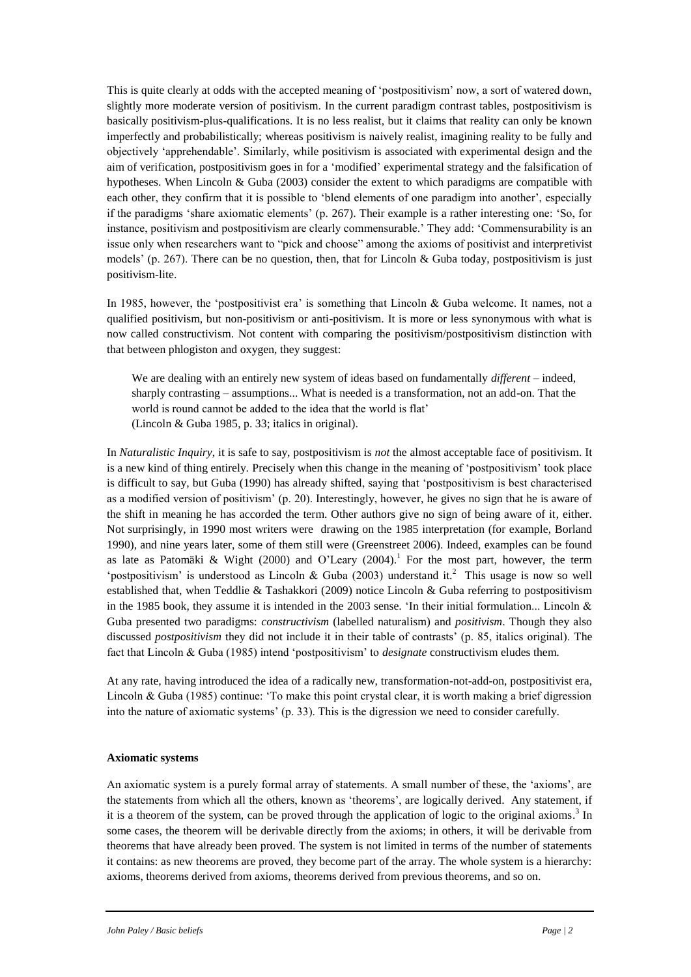This is quite clearly at odds with the accepted meaning of 'postpositivism' now, a sort of watered down, slightly more moderate version of positivism. In the current paradigm contrast tables, postpositivism is basically positivism-plus-qualifications. It is no less realist, but it claims that reality can only be known imperfectly and probabilistically; whereas positivism is naively realist, imagining reality to be fully and objectively 'apprehendable'. Similarly, while positivism is associated with experimental design and the aim of verification, postpositivism goes in for a 'modified' experimental strategy and the falsification of hypotheses. When Lincoln & Guba (2003) consider the extent to which paradigms are compatible with each other, they confirm that it is possible to 'blend elements of one paradigm into another', especially if the paradigms 'share axiomatic elements' (p. 267). Their example is a rather interesting one: 'So, for instance, positivism and postpositivism are clearly commensurable.' They add: 'Commensurability is an issue only when researchers want to "pick and choose" among the axioms of positivist and interpretivist models' (p. 267). There can be no question, then, that for Lincoln & Guba today, postpositivism is just positivism-lite.

In 1985, however, the 'postpositivist era' is something that Lincoln  $\&$  Guba welcome. It names, not a qualified positivism, but non-positivism or anti-positivism. It is more or less synonymous with what is now called constructivism. Not content with comparing the positivism/postpositivism distinction with that between phlogiston and oxygen, they suggest:

We are dealing with an entirely new system of ideas based on fundamentally *different* – indeed, sharply contrasting – assumptions... What is needed is a transformation, not an add-on. That the world is round cannot be added to the idea that the world is flat' (Lincoln & Guba 1985, p. 33; italics in original).

In *Naturalistic Inquiry*, it is safe to say, postpositivism is *not* the almost acceptable face of positivism. It is a new kind of thing entirely. Precisely when this change in the meaning of 'postpositivism' took place is difficult to say, but Guba (1990) has already shifted, saying that 'postpositivism is best characterised as a modified version of positivism' (p. 20). Interestingly, however, he gives no sign that he is aware of the shift in meaning he has accorded the term. Other authors give no sign of being aware of it, either. Not surprisingly, in 1990 most writers were drawing on the 1985 interpretation (for example, Borland 1990), and nine years later, some of them still were (Greenstreet 2006). Indeed, examples can be found as late as Patomäki & Wight (2000) and O'Leary (2004).<sup>1</sup> For the most part, however, the term 'postpositivism' is understood as Lincoln & Guba (2003) understand it.<sup>2</sup> This usage is now so well established that, when Teddlie & Tashakkori (2009) notice Lincoln & Guba referring to postpositivism in the 1985 book, they assume it is intended in the 2003 sense. 'In their initial formulation... Lincoln  $\&$ Guba presented two paradigms: *constructivism* (labelled naturalism) and *positivism*. Though they also discussed *postpositivism* they did not include it in their table of contrasts' (p. 85, italics original). The fact that Lincoln & Guba (1985) intend 'postpositivism' to *designate* constructivism eludes them.

At any rate, having introduced the idea of a radically new, transformation-not-add-on, postpositivist era, Lincoln & Guba (1985) continue: 'To make this point crystal clear, it is worth making a brief digression into the nature of axiomatic systems' (p. 33). This is the digression we need to consider carefully.

## **Axiomatic systems**

An axiomatic system is a purely formal array of statements. A small number of these, the 'axioms', are the statements from which all the others, known as 'theorems', are logically derived. Any statement, if it is a theorem of the system, can be proved through the application of logic to the original axioms.<sup>3</sup> In some cases, the theorem will be derivable directly from the axioms; in others, it will be derivable from theorems that have already been proved. The system is not limited in terms of the number of statements it contains: as new theorems are proved, they become part of the array. The whole system is a hierarchy: axioms, theorems derived from axioms, theorems derived from previous theorems, and so on.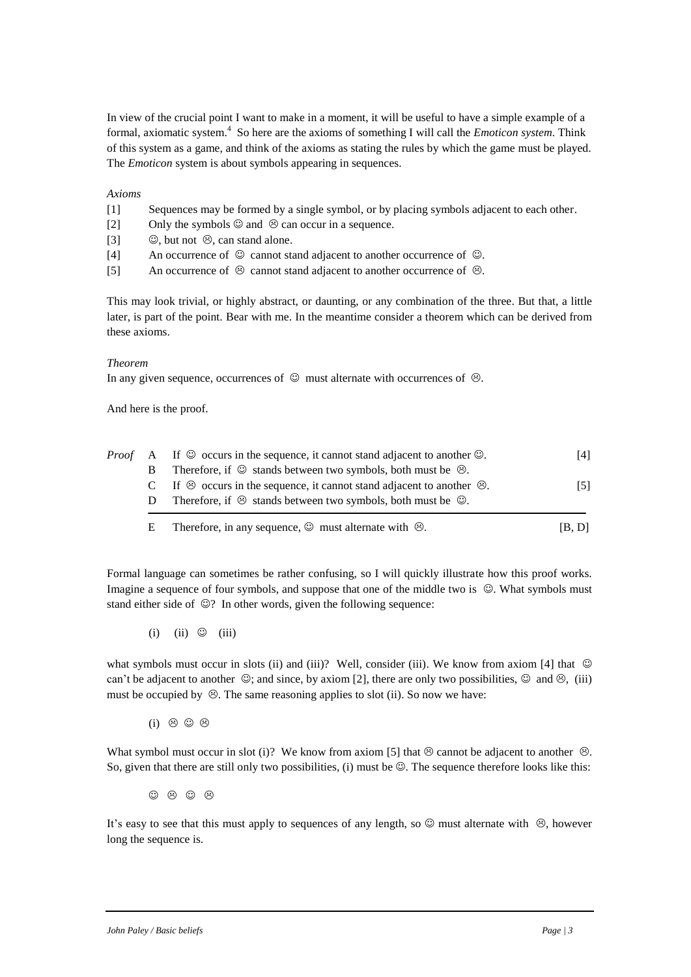In view of the crucial point I want to make in a moment, it will be useful to have a simple example of a formal, axiomatic system.<sup>4</sup> So here are the axioms of something I will call the *Emoticon system*. Think of this system as a game, and think of the axioms as stating the rules by which the game must be played. The *Emoticon* system is about symbols appearing in sequences.

#### *Axioms*

- [1] Sequences may be formed by a single symbol, or by placing symbols adjacent to each other.
- [2] Only the symbols  $\odot$  and  $\odot$  can occur in a sequence.
- [3]  $\circledcirc$ , but not  $\circledcirc$ , can stand alone.
- [4] An occurrence of  $\odot$  cannot stand adjacent to another occurrence of  $\odot$ .
- [5] An occurrence of  $\odot$  cannot stand adjacent to another occurrence of  $\odot$ .

This may look trivial, or highly abstract, or daunting, or any combination of the three. But that, a little later, is part of the point. Bear with me. In the meantime consider a theorem which can be derived from these axioms.

#### *Theorem*

In any given sequence, occurrences of  $\odot$  must alternate with occurrences of  $\odot$ .

And here is the proof.

|   | <i>Proof</i> A If $\heartsuit$ occurs in the sequence, it cannot stand adjacent to another $\heartsuit$ . | [4]    |
|---|-----------------------------------------------------------------------------------------------------------|--------|
|   | Therefore, if $\odot$ stands between two symbols, both must be $\odot$ .                                  |        |
|   | C If $\otimes$ occurs in the sequence, it cannot stand adjacent to another $\otimes$ .                    | [5]    |
| D | Therefore, if $\otimes$ stands between two symbols, both must be $\otimes$ .                              |        |
| E | Therefore, in any sequence, $\odot$ must alternate with $\odot$ .                                         | 1B, DI |

Formal language can sometimes be rather confusing, so I will quickly illustrate how this proof works. Imagine a sequence of four symbols, and suppose that one of the middle two is  $\heartsuit$ . What symbols must stand either side of  $\mathcal{D}$ ? In other words, given the following sequence:

 $(i)$   $(ii)$   $\odot$   $(iii)$ 

what symbols must occur in slots (ii) and (iii)? Well, consider (iii). We know from axiom [4] that  $\heartsuit$ can't be adjacent to another  $\heartsuit$ ; and since, by axiom [2], there are only two possibilities,  $\heartsuit$  and  $\heartsuit$ , (iii) must be occupied by  $\odot$ . The same reasoning applies to slot (ii). So now we have:

(i)  $\odot$   $\odot$   $\odot$ 

What symbol must occur in slot (i)? We know from axiom [5] that  $\otimes$  cannot be adjacent to another  $\otimes$ . So, given that there are still only two possibilities, (i) must be  $\mathcal{O}$ . The sequence therefore looks like this:

 $\circledcirc$   $\circledcirc$   $\circledcirc$ 

It's easy to see that this must apply to sequences of any length, so  $\circledcirc$  must alternate with  $\circledcirc$ , however long the sequence is.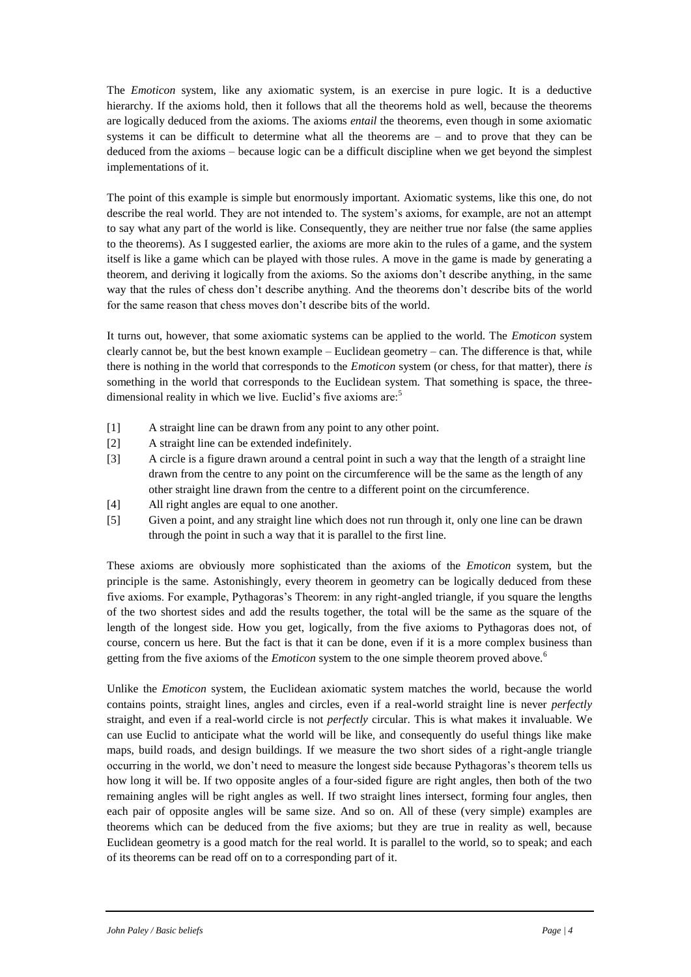The *Emoticon* system, like any axiomatic system, is an exercise in pure logic. It is a deductive hierarchy. If the axioms hold, then it follows that all the theorems hold as well, because the theorems are logically deduced from the axioms. The axioms *entail* the theorems, even though in some axiomatic systems it can be difficult to determine what all the theorems are – and to prove that they can be deduced from the axioms – because logic can be a difficult discipline when we get beyond the simplest implementations of it.

The point of this example is simple but enormously important. Axiomatic systems, like this one, do not describe the real world. They are not intended to. The system's axioms, for example, are not an attempt to say what any part of the world is like. Consequently, they are neither true nor false (the same applies to the theorems). As I suggested earlier, the axioms are more akin to the rules of a game, and the system itself is like a game which can be played with those rules. A move in the game is made by generating a theorem, and deriving it logically from the axioms. So the axioms don't describe anything, in the same way that the rules of chess don't describe anything. And the theorems don't describe bits of the world for the same reason that chess moves don't describe bits of the world.

It turns out, however, that some axiomatic systems can be applied to the world. The *Emoticon* system clearly cannot be, but the best known example – Euclidean geometry – can. The difference is that, while there is nothing in the world that corresponds to the *Emoticon* system (or chess, for that matter), there *is* something in the world that corresponds to the Euclidean system. That something is space, the threedimensional reality in which we live. Euclid's five axioms are:<sup>5</sup>

- [1] A straight line can be drawn from any point to any other point.
- [2] A straight line can be extended indefinitely.
- [3] A circle is a figure drawn around a central point in such a way that the length of a straight line drawn from the centre to any point on the circumference will be the same as the length of any other straight line drawn from the centre to a different point on the circumference.
- [4] All right angles are equal to one another.
- [5] Given a point, and any straight line which does not run through it, only one line can be drawn through the point in such a way that it is parallel to the first line.

These axioms are obviously more sophisticated than the axioms of the *Emoticon* system, but the principle is the same. Astonishingly, every theorem in geometry can be logically deduced from these five axioms. For example, Pythagoras's Theorem: in any right-angled triangle, if you square the lengths of the two shortest sides and add the results together, the total will be the same as the square of the length of the longest side. How you get, logically, from the five axioms to Pythagoras does not, of course, concern us here. But the fact is that it can be done, even if it is a more complex business than getting from the five axioms of the *Emoticon* system to the one simple theorem proved above.<sup>6</sup>

Unlike the *Emoticon* system, the Euclidean axiomatic system matches the world, because the world contains points, straight lines, angles and circles, even if a real-world straight line is never *perfectly* straight, and even if a real-world circle is not *perfectly* circular. This is what makes it invaluable. We can use Euclid to anticipate what the world will be like, and consequently do useful things like make maps, build roads, and design buildings. If we measure the two short sides of a right-angle triangle occurring in the world, we don't need to measure the longest side because Pythagoras's theorem tells us how long it will be. If two opposite angles of a four-sided figure are right angles, then both of the two remaining angles will be right angles as well. If two straight lines intersect, forming four angles, then each pair of opposite angles will be same size. And so on. All of these (very simple) examples are theorems which can be deduced from the five axioms; but they are true in reality as well, because Euclidean geometry is a good match for the real world. It is parallel to the world, so to speak; and each of its theorems can be read off on to a corresponding part of it.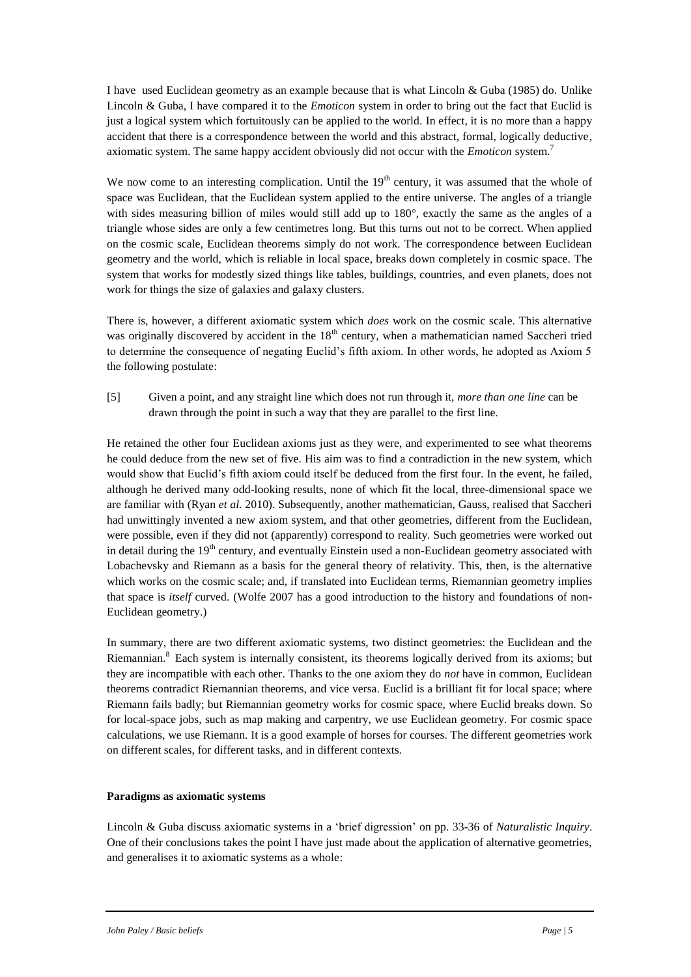I have used Euclidean geometry as an example because that is what Lincoln & Guba (1985) do. Unlike Lincoln & Guba, I have compared it to the *Emoticon* system in order to bring out the fact that Euclid is just a logical system which fortuitously can be applied to the world. In effect, it is no more than a happy accident that there is a correspondence between the world and this abstract, formal, logically deductive, axiomatic system. The same happy accident obviously did not occur with the *Emoticon* system.<sup>7</sup>

We now come to an interesting complication. Until the  $19<sup>th</sup>$  century, it was assumed that the whole of space was Euclidean, that the Euclidean system applied to the entire universe. The angles of a triangle with sides measuring billion of miles would still add up to 180°, exactly the same as the angles of a triangle whose sides are only a few centimetres long. But this turns out not to be correct. When applied on the cosmic scale, Euclidean theorems simply do not work. The correspondence between Euclidean geometry and the world, which is reliable in local space, breaks down completely in cosmic space. The system that works for modestly sized things like tables, buildings, countries, and even planets, does not work for things the size of galaxies and galaxy clusters.

There is, however, a different axiomatic system which *does* work on the cosmic scale. This alternative was originally discovered by accident in the  $18<sup>th</sup>$  century, when a mathematician named Saccheri tried to determine the consequence of negating Euclid's fifth axiom. In other words, he adopted as Axiom 5 the following postulate:

[5] Given a point, and any straight line which does not run through it, *more than one line* can be drawn through the point in such a way that they are parallel to the first line.

He retained the other four Euclidean axioms just as they were, and experimented to see what theorems he could deduce from the new set of five. His aim was to find a contradiction in the new system, which would show that Euclid's fifth axiom could itself be deduced from the first four. In the event, he failed, although he derived many odd-looking results, none of which fit the local, three-dimensional space we are familiar with (Ryan *et al.* 2010). Subsequently, another mathematician, Gauss, realised that Saccheri had unwittingly invented a new axiom system, and that other geometries, different from the Euclidean, were possible, even if they did not (apparently) correspond to reality. Such geometries were worked out in detail during the  $19<sup>th</sup>$  century, and eventually Einstein used a non-Euclidean geometry associated with Lobachevsky and Riemann as a basis for the general theory of relativity. This, then, is the alternative which works on the cosmic scale; and, if translated into Euclidean terms, Riemannian geometry implies that space is *itself* curved. (Wolfe 2007 has a good introduction to the history and foundations of non-Euclidean geometry.)

In summary, there are two different axiomatic systems, two distinct geometries: the Euclidean and the Riemannian.<sup>8</sup> Each system is internally consistent, its theorems logically derived from its axioms; but they are incompatible with each other. Thanks to the one axiom they do *not* have in common, Euclidean theorems contradict Riemannian theorems, and vice versa. Euclid is a brilliant fit for local space; where Riemann fails badly; but Riemannian geometry works for cosmic space, where Euclid breaks down. So for local-space jobs, such as map making and carpentry, we use Euclidean geometry. For cosmic space calculations, we use Riemann. It is a good example of horses for courses. The different geometries work on different scales, for different tasks, and in different contexts.

## **Paradigms as axiomatic systems**

Lincoln & Guba discuss axiomatic systems in a 'brief digression' on pp. 33-36 of *Naturalistic Inquiry*. One of their conclusions takes the point I have just made about the application of alternative geometries, and generalises it to axiomatic systems as a whole: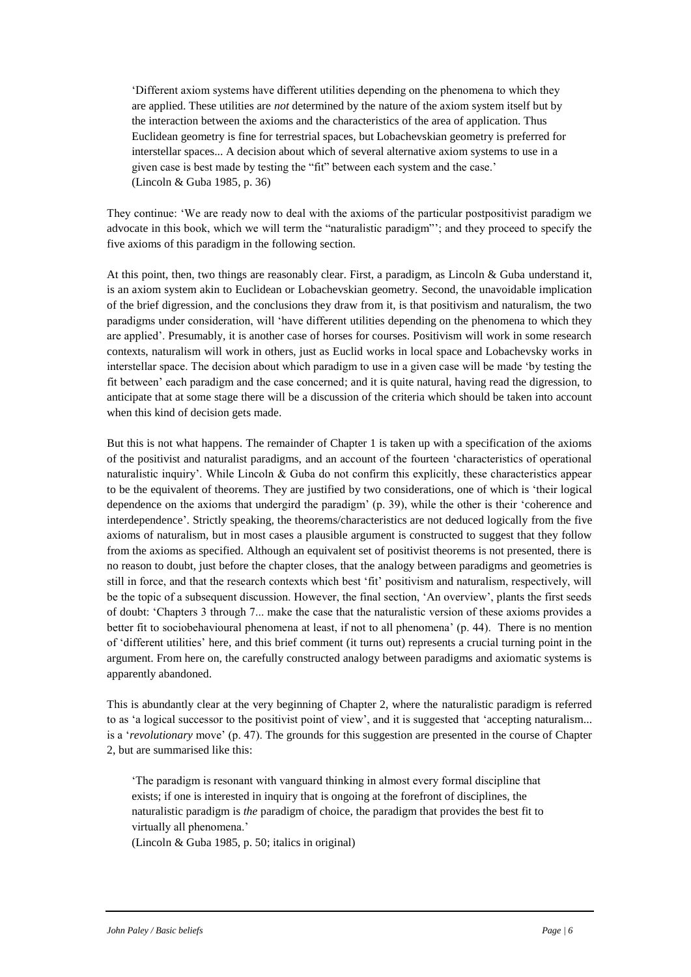'Different axiom systems have different utilities depending on the phenomena to which they are applied. These utilities are *not* determined by the nature of the axiom system itself but by the interaction between the axioms and the characteristics of the area of application. Thus Euclidean geometry is fine for terrestrial spaces, but Lobachevskian geometry is preferred for interstellar spaces... A decision about which of several alternative axiom systems to use in a given case is best made by testing the "fit" between each system and the case.' (Lincoln & Guba 1985, p. 36)

They continue: 'We are ready now to deal with the axioms of the particular postpositivist paradigm we advocate in this book, which we will term the "naturalistic paradigm"'; and they proceed to specify the five axioms of this paradigm in the following section.

At this point, then, two things are reasonably clear. First, a paradigm, as Lincoln & Guba understand it, is an axiom system akin to Euclidean or Lobachevskian geometry. Second, the unavoidable implication of the brief digression, and the conclusions they draw from it, is that positivism and naturalism, the two paradigms under consideration, will 'have different utilities depending on the phenomena to which they are applied'. Presumably, it is another case of horses for courses. Positivism will work in some research contexts, naturalism will work in others, just as Euclid works in local space and Lobachevsky works in interstellar space. The decision about which paradigm to use in a given case will be made 'by testing the fit between' each paradigm and the case concerned; and it is quite natural, having read the digression, to anticipate that at some stage there will be a discussion of the criteria which should be taken into account when this kind of decision gets made.

But this is not what happens. The remainder of Chapter 1 is taken up with a specification of the axioms of the positivist and naturalist paradigms, and an account of the fourteen 'characteristics of operational naturalistic inquiry'. While Lincoln & Guba do not confirm this explicitly, these characteristics appear to be the equivalent of theorems. They are justified by two considerations, one of which is 'their logical dependence on the axioms that undergird the paradigm' (p. 39), while the other is their 'coherence and interdependence'. Strictly speaking, the theorems/characteristics are not deduced logically from the five axioms of naturalism, but in most cases a plausible argument is constructed to suggest that they follow from the axioms as specified. Although an equivalent set of positivist theorems is not presented, there is no reason to doubt, just before the chapter closes, that the analogy between paradigms and geometries is still in force, and that the research contexts which best 'fit' positivism and naturalism, respectively, will be the topic of a subsequent discussion. However, the final section, 'An overview', plants the first seeds of doubt: 'Chapters 3 through 7... make the case that the naturalistic version of these axioms provides a better fit to sociobehavioural phenomena at least, if not to all phenomena' (p. 44). There is no mention of 'different utilities' here, and this brief comment (it turns out) represents a crucial turning point in the argument. From here on, the carefully constructed analogy between paradigms and axiomatic systems is apparently abandoned.

This is abundantly clear at the very beginning of Chapter 2, where the naturalistic paradigm is referred to as 'a logical successor to the positivist point of view', and it is suggested that 'accepting naturalism... is a '*revolutionary* move' (p. 47). The grounds for this suggestion are presented in the course of Chapter 2, but are summarised like this:

'The paradigm is resonant with vanguard thinking in almost every formal discipline that exists; if one is interested in inquiry that is ongoing at the forefront of disciplines, the naturalistic paradigm is *the* paradigm of choice, the paradigm that provides the best fit to virtually all phenomena.'

(Lincoln & Guba 1985, p. 50; italics in original)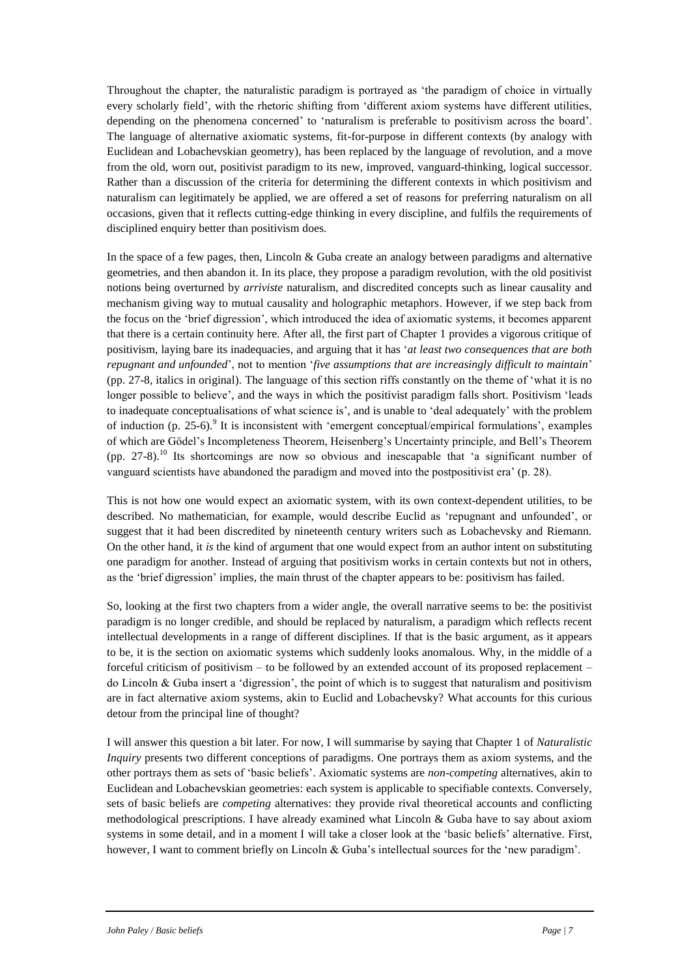Throughout the chapter, the naturalistic paradigm is portrayed as 'the paradigm of choice in virtually every scholarly field', with the rhetoric shifting from 'different axiom systems have different utilities, depending on the phenomena concerned' to 'naturalism is preferable to positivism across the board'. The language of alternative axiomatic systems, fit-for-purpose in different contexts (by analogy with Euclidean and Lobachevskian geometry), has been replaced by the language of revolution, and a move from the old, worn out, positivist paradigm to its new, improved, vanguard-thinking, logical successor. Rather than a discussion of the criteria for determining the different contexts in which positivism and naturalism can legitimately be applied, we are offered a set of reasons for preferring naturalism on all occasions, given that it reflects cutting-edge thinking in every discipline, and fulfils the requirements of disciplined enquiry better than positivism does.

In the space of a few pages, then, Lincoln & Guba create an analogy between paradigms and alternative geometries, and then abandon it. In its place, they propose a paradigm revolution, with the old positivist notions being overturned by *arriviste* naturalism, and discredited concepts such as linear causality and mechanism giving way to mutual causality and holographic metaphors. However, if we step back from the focus on the 'brief digression', which introduced the idea of axiomatic systems, it becomes apparent that there is a certain continuity here. After all, the first part of Chapter 1 provides a vigorous critique of positivism, laying bare its inadequacies, and arguing that it has '*at least two consequences that are both repugnant and unfounded*', not to mention '*five assumptions that are increasingly difficult to maintain*' (pp. 27-8, italics in original). The language of this section riffs constantly on the theme of 'what it is no longer possible to believe', and the ways in which the positivist paradigm falls short. Positivism 'leads to inadequate conceptualisations of what science is', and is unable to 'deal adequately' with the problem of induction (p. 25-6).<sup>9</sup> It is inconsistent with 'emergent conceptual/empirical formulations', examples of which are Gödel's Incompleteness Theorem, Heisenberg's Uncertainty principle, and Bell's Theorem (pp.  $27-8$ ).<sup>10</sup> Its shortcomings are now so obvious and inescapable that 'a significant number of vanguard scientists have abandoned the paradigm and moved into the postpositivist era' (p. 28).

This is not how one would expect an axiomatic system, with its own context-dependent utilities, to be described. No mathematician, for example, would describe Euclid as 'repugnant and unfounded', or suggest that it had been discredited by nineteenth century writers such as Lobachevsky and Riemann. On the other hand, it *is* the kind of argument that one would expect from an author intent on substituting one paradigm for another. Instead of arguing that positivism works in certain contexts but not in others, as the 'brief digression' implies, the main thrust of the chapter appears to be: positivism has failed.

So, looking at the first two chapters from a wider angle, the overall narrative seems to be: the positivist paradigm is no longer credible, and should be replaced by naturalism, a paradigm which reflects recent intellectual developments in a range of different disciplines. If that is the basic argument, as it appears to be, it is the section on axiomatic systems which suddenly looks anomalous. Why, in the middle of a forceful criticism of positivism – to be followed by an extended account of its proposed replacement – do Lincoln & Guba insert a 'digression', the point of which is to suggest that naturalism and positivism are in fact alternative axiom systems, akin to Euclid and Lobachevsky? What accounts for this curious detour from the principal line of thought?

I will answer this question a bit later. For now, I will summarise by saying that Chapter 1 of *Naturalistic Inquiry* presents two different conceptions of paradigms. One portrays them as axiom systems, and the other portrays them as sets of 'basic beliefs'. Axiomatic systems are *non-competing* alternatives, akin to Euclidean and Lobachevskian geometries: each system is applicable to specifiable contexts. Conversely, sets of basic beliefs are *competing* alternatives: they provide rival theoretical accounts and conflicting methodological prescriptions. I have already examined what Lincoln & Guba have to say about axiom systems in some detail, and in a moment I will take a closer look at the 'basic beliefs' alternative. First, however, I want to comment briefly on Lincoln & Guba's intellectual sources for the 'new paradigm'.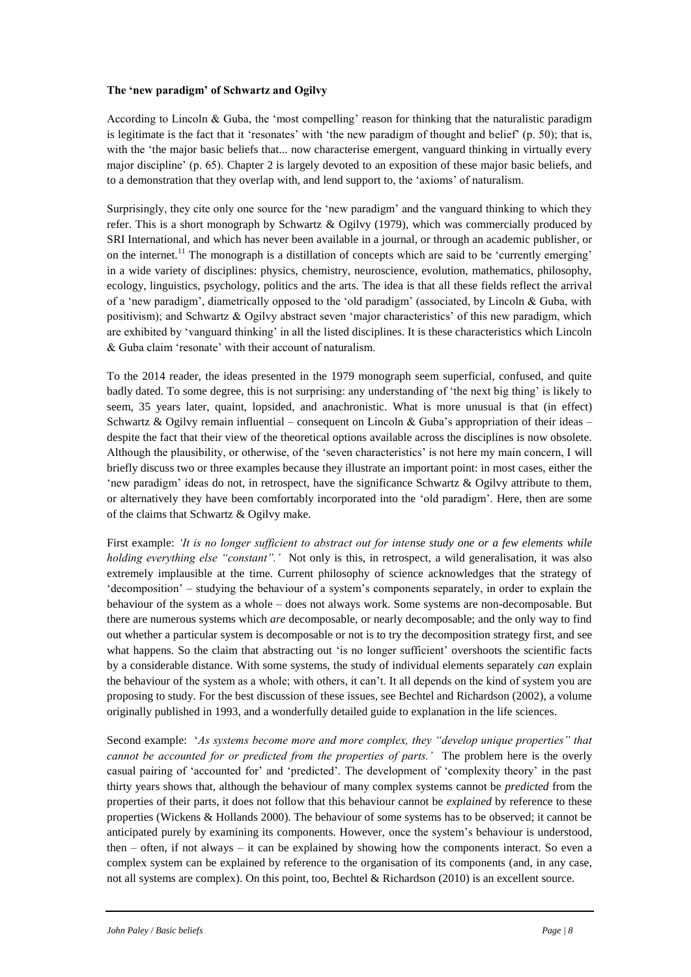# **The 'new paradigm' of Schwartz and Ogilvy**

According to Lincoln & Guba, the 'most compelling' reason for thinking that the naturalistic paradigm is legitimate is the fact that it 'resonates' with 'the new paradigm of thought and belief' (p. 50); that is, with the 'the major basic beliefs that... now characterise emergent, vanguard thinking in virtually every major discipline' (p. 65). Chapter 2 is largely devoted to an exposition of these major basic beliefs, and to a demonstration that they overlap with, and lend support to, the 'axioms' of naturalism.

Surprisingly, they cite only one source for the 'new paradigm' and the vanguard thinking to which they refer. This is a short monograph by Schwartz & Ogilvy (1979), which was commercially produced by SRI International, and which has never been available in a journal, or through an academic publisher, or on the internet.<sup>11</sup> The monograph is a distillation of concepts which are said to be 'currently emerging' in a wide variety of disciplines: physics, chemistry, neuroscience, evolution, mathematics, philosophy, ecology, linguistics, psychology, politics and the arts. The idea is that all these fields reflect the arrival of a 'new paradigm', diametrically opposed to the 'old paradigm' (associated, by Lincoln & Guba, with positivism); and Schwartz & Ogilvy abstract seven 'major characteristics' of this new paradigm, which are exhibited by 'vanguard thinking' in all the listed disciplines. It is these characteristics which Lincoln & Guba claim 'resonate' with their account of naturalism.

To the 2014 reader, the ideas presented in the 1979 monograph seem superficial, confused, and quite badly dated. To some degree, this is not surprising: any understanding of 'the next big thing' is likely to seem, 35 years later, quaint, lopsided, and anachronistic. What is more unusual is that (in effect) Schwartz & Ogilvy remain influential – consequent on Lincoln & Guba's appropriation of their ideas – despite the fact that their view of the theoretical options available across the disciplines is now obsolete. Although the plausibility, or otherwise, of the 'seven characteristics' is not here my main concern, I will briefly discuss two or three examples because they illustrate an important point: in most cases, either the 'new paradigm' ideas do not, in retrospect, have the significance Schwartz & Ogilvy attribute to them, or alternatively they have been comfortably incorporated into the 'old paradigm'. Here, then are some of the claims that Schwartz & Ogilvy make.

First example: *'It is no longer sufficient to abstract out for intense study one or a few elements while holding everything else "constant".'* Not only is this, in retrospect, a wild generalisation, it was also extremely implausible at the time. Current philosophy of science acknowledges that the strategy of 'decomposition' – studying the behaviour of a system's components separately, in order to explain the behaviour of the system as a whole – does not always work. Some systems are non-decomposable. But there are numerous systems which *are* decomposable, or nearly decomposable; and the only way to find out whether a particular system is decomposable or not is to try the decomposition strategy first, and see what happens. So the claim that abstracting out 'is no longer sufficient' overshoots the scientific facts by a considerable distance. With some systems, the study of individual elements separately *can* explain the behaviour of the system as a whole; with others, it can't. It all depends on the kind of system you are proposing to study. For the best discussion of these issues, see Bechtel and Richardson (2002), a volume originally published in 1993, and a wonderfully detailed guide to explanation in the life sciences.

Second example: '*As systems become more and more complex, they "develop unique properties" that cannot be accounted for or predicted from the properties of parts.'* The problem here is the overly casual pairing of 'accounted for' and 'predicted'. The development of 'complexity theory' in the past thirty years shows that, although the behaviour of many complex systems cannot be *predicted* from the properties of their parts, it does not follow that this behaviour cannot be *explained* by reference to these properties (Wickens & Hollands 2000). The behaviour of some systems has to be observed; it cannot be anticipated purely by examining its components. However, once the system's behaviour is understood, then – often, if not always – it can be explained by showing how the components interact. So even a complex system can be explained by reference to the organisation of its components (and, in any case, not all systems are complex). On this point, too, Bechtel & Richardson (2010) is an excellent source.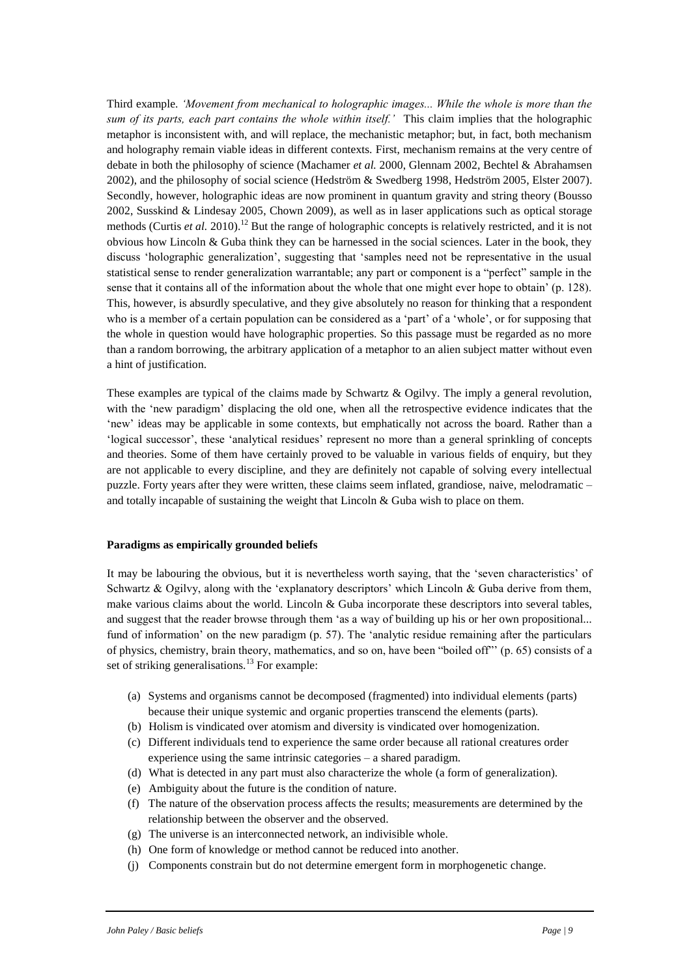Third example. *'Movement from mechanical to holographic images... While the whole is more than the sum of its parts, each part contains the whole within itself.'* This claim implies that the holographic metaphor is inconsistent with, and will replace, the mechanistic metaphor; but, in fact, both mechanism and holography remain viable ideas in different contexts. First, mechanism remains at the very centre of debate in both the philosophy of science (Machamer *et al.* 2000, Glennam 2002, Bechtel & Abrahamsen 2002), and the philosophy of social science (Hedström & Swedberg 1998, Hedström 2005, Elster 2007). Secondly, however, holographic ideas are now prominent in quantum gravity and string theory (Bousso 2002, Susskind & Lindesay 2005, Chown 2009), as well as in laser applications such as optical storage methods (Curtis *et al.* 2010).<sup>12</sup> But the range of holographic concepts is relatively restricted, and it is not obvious how Lincoln & Guba think they can be harnessed in the social sciences. Later in the book, they discuss 'holographic generalization', suggesting that 'samples need not be representative in the usual statistical sense to render generalization warrantable; any part or component is a "perfect" sample in the sense that it contains all of the information about the whole that one might ever hope to obtain' (p. 128). This, however, is absurdly speculative, and they give absolutely no reason for thinking that a respondent who is a member of a certain population can be considered as a 'part' of a 'whole', or for supposing that the whole in question would have holographic properties. So this passage must be regarded as no more than a random borrowing, the arbitrary application of a metaphor to an alien subject matter without even a hint of justification.

These examples are typical of the claims made by Schwartz & Ogilvy. The imply a general revolution, with the 'new paradigm' displacing the old one, when all the retrospective evidence indicates that the 'new' ideas may be applicable in some contexts, but emphatically not across the board. Rather than a 'logical successor', these 'analytical residues' represent no more than a general sprinkling of concepts and theories. Some of them have certainly proved to be valuable in various fields of enquiry, but they are not applicable to every discipline, and they are definitely not capable of solving every intellectual puzzle. Forty years after they were written, these claims seem inflated, grandiose, naive, melodramatic – and totally incapable of sustaining the weight that Lincoln  $\&$  Guba wish to place on them.

## **Paradigms as empirically grounded beliefs**

It may be labouring the obvious, but it is nevertheless worth saying, that the 'seven characteristics' of Schwartz & Ogilvy, along with the 'explanatory descriptors' which Lincoln & Guba derive from them, make various claims about the world. Lincoln & Guba incorporate these descriptors into several tables, and suggest that the reader browse through them 'as a way of building up his or her own propositional... fund of information' on the new paradigm (p. 57). The 'analytic residue remaining after the particulars of physics, chemistry, brain theory, mathematics, and so on, have been "boiled off"' (p. 65) consists of a set of striking generalisations.<sup>13</sup> For example:

- (a) Systems and organisms cannot be decomposed (fragmented) into individual elements (parts) because their unique systemic and organic properties transcend the elements (parts).
- (b) Holism is vindicated over atomism and diversity is vindicated over homogenization.
- (c) Different individuals tend to experience the same order because all rational creatures order experience using the same intrinsic categories – a shared paradigm.
- (d) What is detected in any part must also characterize the whole (a form of generalization).
- (e) Ambiguity about the future is the condition of nature.
- (f) The nature of the observation process affects the results; measurements are determined by the relationship between the observer and the observed.
- (g) The universe is an interconnected network, an indivisible whole.
- (h) One form of knowledge or method cannot be reduced into another.
- (j) Components constrain but do not determine emergent form in morphogenetic change.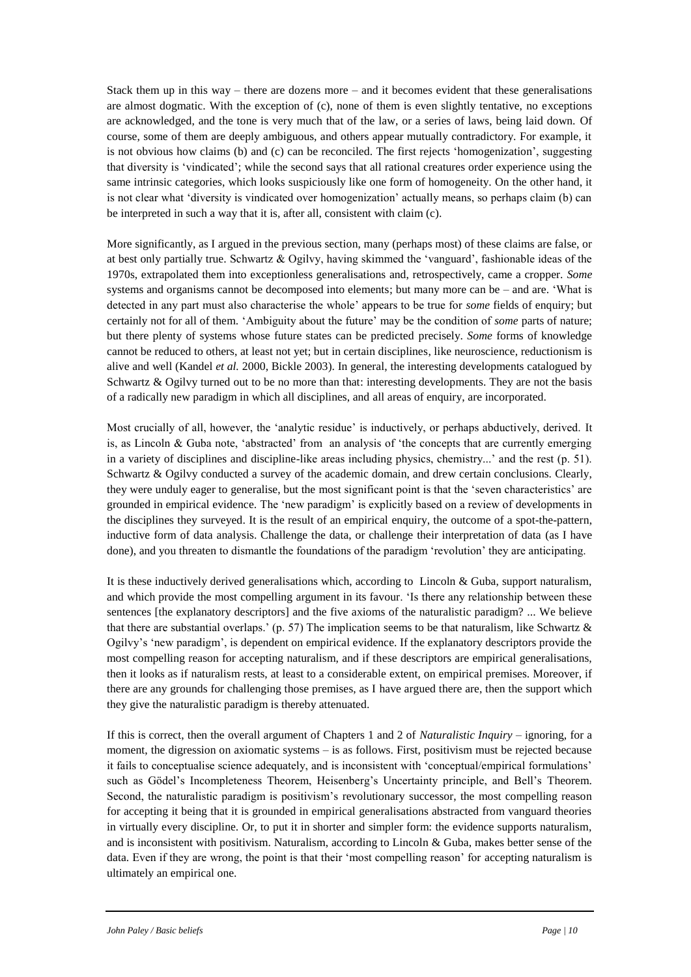Stack them up in this way – there are dozens more – and it becomes evident that these generalisations are almost dogmatic. With the exception of (c), none of them is even slightly tentative, no exceptions are acknowledged, and the tone is very much that of the law, or a series of laws, being laid down. Of course, some of them are deeply ambiguous, and others appear mutually contradictory. For example, it is not obvious how claims (b) and (c) can be reconciled. The first rejects 'homogenization', suggesting that diversity is 'vindicated'; while the second says that all rational creatures order experience using the same intrinsic categories, which looks suspiciously like one form of homogeneity. On the other hand, it is not clear what 'diversity is vindicated over homogenization' actually means, so perhaps claim (b) can be interpreted in such a way that it is, after all, consistent with claim (c).

More significantly, as I argued in the previous section, many (perhaps most) of these claims are false, or at best only partially true. Schwartz & Ogilvy, having skimmed the 'vanguard', fashionable ideas of the 1970s, extrapolated them into exceptionless generalisations and, retrospectively, came a cropper. *Some* systems and organisms cannot be decomposed into elements; but many more can be – and are. 'What is detected in any part must also characterise the whole' appears to be true for *some* fields of enquiry; but certainly not for all of them. 'Ambiguity about the future' may be the condition of *some* parts of nature; but there plenty of systems whose future states can be predicted precisely. *Some* forms of knowledge cannot be reduced to others, at least not yet; but in certain disciplines, like neuroscience, reductionism is alive and well (Kandel *et al.* 2000, Bickle 2003). In general, the interesting developments catalogued by Schwartz & Ogilvy turned out to be no more than that: interesting developments. They are not the basis of a radically new paradigm in which all disciplines, and all areas of enquiry, are incorporated.

Most crucially of all, however, the 'analytic residue' is inductively, or perhaps abductively, derived. It is, as Lincoln & Guba note, 'abstracted' from an analysis of 'the concepts that are currently emerging in a variety of disciplines and discipline-like areas including physics, chemistry...' and the rest (p. 51). Schwartz & Ogilvy conducted a survey of the academic domain, and drew certain conclusions. Clearly, they were unduly eager to generalise, but the most significant point is that the 'seven characteristics' are grounded in empirical evidence. The 'new paradigm' is explicitly based on a review of developments in the disciplines they surveyed. It is the result of an empirical enquiry, the outcome of a spot-the-pattern, inductive form of data analysis. Challenge the data, or challenge their interpretation of data (as I have done), and you threaten to dismantle the foundations of the paradigm 'revolution' they are anticipating.

It is these inductively derived generalisations which, according to Lincoln & Guba, support naturalism, and which provide the most compelling argument in its favour. 'Is there any relationship between these sentences [the explanatory descriptors] and the five axioms of the naturalistic paradigm? ... We believe that there are substantial overlaps.' (p. 57) The implication seems to be that naturalism, like Schwartz  $\&$ Ogilvy's 'new paradigm', is dependent on empirical evidence. If the explanatory descriptors provide the most compelling reason for accepting naturalism, and if these descriptors are empirical generalisations, then it looks as if naturalism rests, at least to a considerable extent, on empirical premises. Moreover, if there are any grounds for challenging those premises, as I have argued there are, then the support which they give the naturalistic paradigm is thereby attenuated.

If this is correct, then the overall argument of Chapters 1 and 2 of *Naturalistic Inquiry* – ignoring, for a moment, the digression on axiomatic systems – is as follows. First, positivism must be rejected because it fails to conceptualise science adequately, and is inconsistent with 'conceptual/empirical formulations' such as Gödel's Incompleteness Theorem, Heisenberg's Uncertainty principle, and Bell's Theorem. Second, the naturalistic paradigm is positivism's revolutionary successor, the most compelling reason for accepting it being that it is grounded in empirical generalisations abstracted from vanguard theories in virtually every discipline. Or, to put it in shorter and simpler form: the evidence supports naturalism, and is inconsistent with positivism. Naturalism, according to Lincoln & Guba, makes better sense of the data. Even if they are wrong, the point is that their 'most compelling reason' for accepting naturalism is ultimately an empirical one.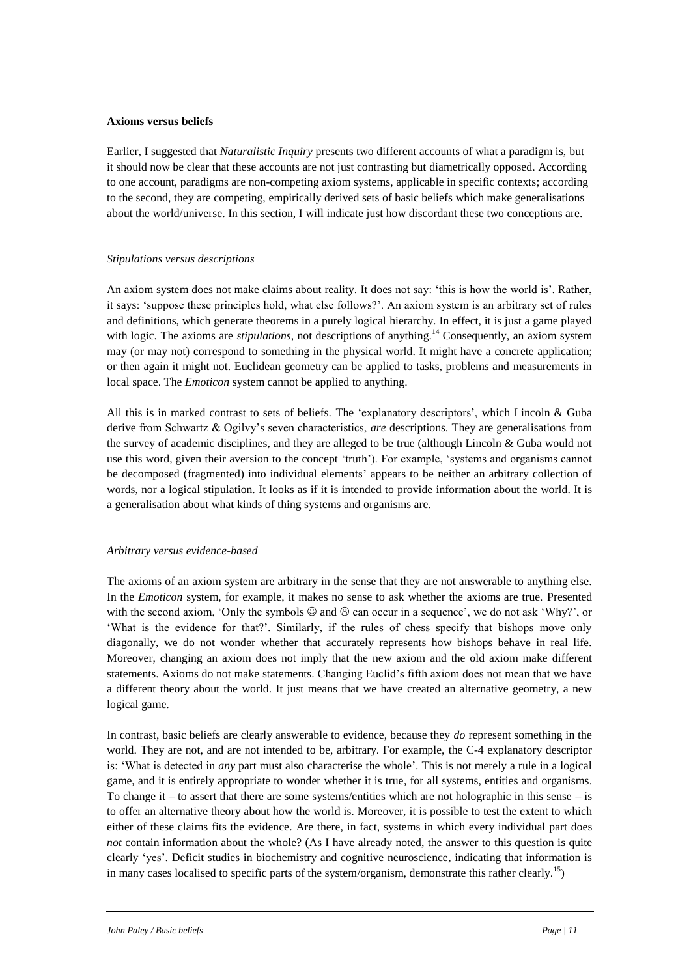#### **Axioms versus beliefs**

Earlier, I suggested that *Naturalistic Inquiry* presents two different accounts of what a paradigm is, but it should now be clear that these accounts are not just contrasting but diametrically opposed. According to one account, paradigms are non-competing axiom systems, applicable in specific contexts; according to the second, they are competing, empirically derived sets of basic beliefs which make generalisations about the world/universe. In this section, I will indicate just how discordant these two conceptions are.

## *Stipulations versus descriptions*

An axiom system does not make claims about reality. It does not say: 'this is how the world is'. Rather, it says: 'suppose these principles hold, what else follows?'. An axiom system is an arbitrary set of rules and definitions, which generate theorems in a purely logical hierarchy. In effect, it is just a game played with logic. The axioms are *stipulations*, not descriptions of anything.<sup>14</sup> Consequently, an axiom system may (or may not) correspond to something in the physical world. It might have a concrete application; or then again it might not. Euclidean geometry can be applied to tasks, problems and measurements in local space. The *Emoticon* system cannot be applied to anything.

All this is in marked contrast to sets of beliefs. The 'explanatory descriptors', which Lincoln & Guba derive from Schwartz & Ogilvy's seven characteristics, *are* descriptions. They are generalisations from the survey of academic disciplines, and they are alleged to be true (although Lincoln & Guba would not use this word, given their aversion to the concept 'truth'). For example, 'systems and organisms cannot be decomposed (fragmented) into individual elements' appears to be neither an arbitrary collection of words, nor a logical stipulation. It looks as if it is intended to provide information about the world. It is a generalisation about what kinds of thing systems and organisms are.

## *Arbitrary versus evidence-based*

The axioms of an axiom system are arbitrary in the sense that they are not answerable to anything else. In the *Emoticon* system, for example, it makes no sense to ask whether the axioms are true. Presented with the second axiom, 'Only the symbols  $\odot$  and  $\odot$  can occur in a sequence', we do not ask 'Why?', or 'What is the evidence for that?'. Similarly, if the rules of chess specify that bishops move only diagonally, we do not wonder whether that accurately represents how bishops behave in real life. Moreover, changing an axiom does not imply that the new axiom and the old axiom make different statements. Axioms do not make statements. Changing Euclid's fifth axiom does not mean that we have a different theory about the world. It just means that we have created an alternative geometry, a new logical game.

In contrast, basic beliefs are clearly answerable to evidence, because they *do* represent something in the world. They are not, and are not intended to be, arbitrary. For example, the C-4 explanatory descriptor is: 'What is detected in *any* part must also characterise the whole'. This is not merely a rule in a logical game, and it is entirely appropriate to wonder whether it is true, for all systems, entities and organisms. To change it – to assert that there are some systems/entities which are not holographic in this sense – is to offer an alternative theory about how the world is. Moreover, it is possible to test the extent to which either of these claims fits the evidence. Are there, in fact, systems in which every individual part does *not* contain information about the whole? (As I have already noted, the answer to this question is quite clearly 'yes'. Deficit studies in biochemistry and cognitive neuroscience, indicating that information is in many cases localised to specific parts of the system/organism, demonstrate this rather clearly.<sup>15</sup>)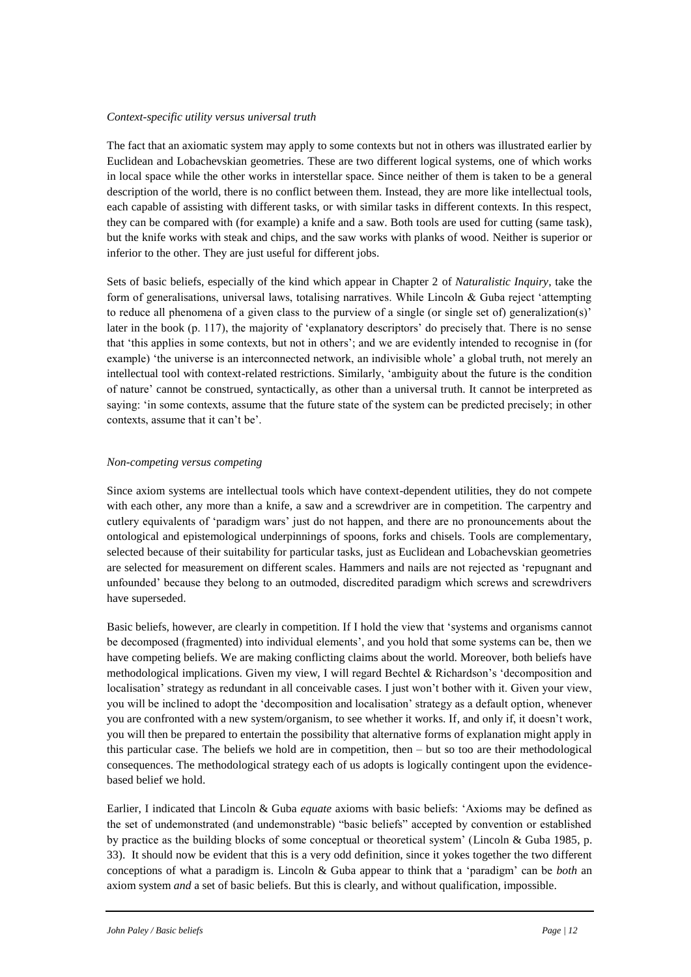## *Context-specific utility versus universal truth*

The fact that an axiomatic system may apply to some contexts but not in others was illustrated earlier by Euclidean and Lobachevskian geometries. These are two different logical systems, one of which works in local space while the other works in interstellar space. Since neither of them is taken to be a general description of the world, there is no conflict between them. Instead, they are more like intellectual tools, each capable of assisting with different tasks, or with similar tasks in different contexts. In this respect, they can be compared with (for example) a knife and a saw. Both tools are used for cutting (same task), but the knife works with steak and chips, and the saw works with planks of wood. Neither is superior or inferior to the other. They are just useful for different jobs.

Sets of basic beliefs, especially of the kind which appear in Chapter 2 of *Naturalistic Inquiry*, take the form of generalisations, universal laws, totalising narratives. While Lincoln  $\&$  Guba reject 'attempting to reduce all phenomena of a given class to the purview of a single (or single set of) generalization(s)' later in the book (p. 117), the majority of 'explanatory descriptors' do precisely that. There is no sense that 'this applies in some contexts, but not in others'; and we are evidently intended to recognise in (for example) 'the universe is an interconnected network, an indivisible whole' a global truth, not merely an intellectual tool with context-related restrictions. Similarly, 'ambiguity about the future is the condition of nature' cannot be construed, syntactically, as other than a universal truth. It cannot be interpreted as saying: 'in some contexts, assume that the future state of the system can be predicted precisely; in other contexts, assume that it can't be'.

#### *Non-competing versus competing*

Since axiom systems are intellectual tools which have context-dependent utilities, they do not compete with each other, any more than a knife, a saw and a screwdriver are in competition. The carpentry and cutlery equivalents of 'paradigm wars' just do not happen, and there are no pronouncements about the ontological and epistemological underpinnings of spoons, forks and chisels. Tools are complementary, selected because of their suitability for particular tasks, just as Euclidean and Lobachevskian geometries are selected for measurement on different scales. Hammers and nails are not rejected as 'repugnant and unfounded' because they belong to an outmoded, discredited paradigm which screws and screwdrivers have superseded.

Basic beliefs, however, are clearly in competition. If I hold the view that 'systems and organisms cannot be decomposed (fragmented) into individual elements', and you hold that some systems can be, then we have competing beliefs. We are making conflicting claims about the world. Moreover, both beliefs have methodological implications. Given my view, I will regard Bechtel & Richardson's 'decomposition and localisation' strategy as redundant in all conceivable cases. I just won't bother with it. Given your view, you will be inclined to adopt the 'decomposition and localisation' strategy as a default option, whenever you are confronted with a new system/organism, to see whether it works. If, and only if, it doesn't work, you will then be prepared to entertain the possibility that alternative forms of explanation might apply in this particular case. The beliefs we hold are in competition, then – but so too are their methodological consequences. The methodological strategy each of us adopts is logically contingent upon the evidencebased belief we hold.

Earlier, I indicated that Lincoln & Guba *equate* axioms with basic beliefs: 'Axioms may be defined as the set of undemonstrated (and undemonstrable) "basic beliefs" accepted by convention or established by practice as the building blocks of some conceptual or theoretical system' (Lincoln & Guba 1985, p. 33). It should now be evident that this is a very odd definition, since it yokes together the two different conceptions of what a paradigm is. Lincoln & Guba appear to think that a 'paradigm' can be *both* an axiom system *and* a set of basic beliefs. But this is clearly, and without qualification, impossible.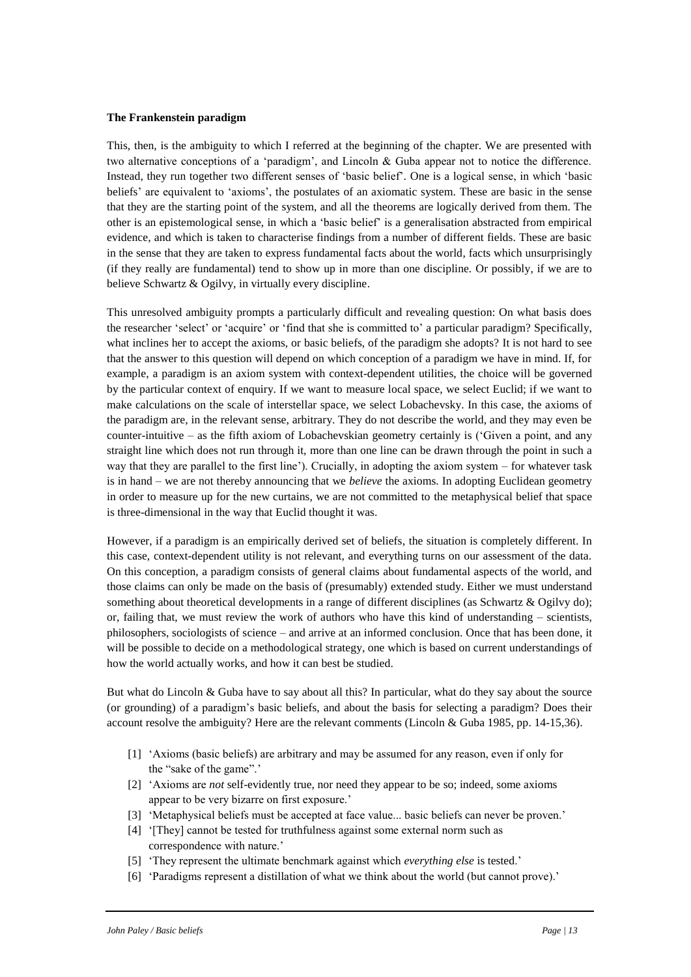#### **The Frankenstein paradigm**

This, then, is the ambiguity to which I referred at the beginning of the chapter. We are presented with two alternative conceptions of a 'paradigm', and Lincoln & Guba appear not to notice the difference. Instead, they run together two different senses of 'basic belief'. One is a logical sense, in which 'basic beliefs' are equivalent to 'axioms', the postulates of an axiomatic system. These are basic in the sense that they are the starting point of the system, and all the theorems are logically derived from them. The other is an epistemological sense, in which a 'basic belief' is a generalisation abstracted from empirical evidence, and which is taken to characterise findings from a number of different fields. These are basic in the sense that they are taken to express fundamental facts about the world, facts which unsurprisingly (if they really are fundamental) tend to show up in more than one discipline. Or possibly, if we are to believe Schwartz & Ogilvy, in virtually every discipline.

This unresolved ambiguity prompts a particularly difficult and revealing question: On what basis does the researcher 'select' or 'acquire' or 'find that she is committed to' a particular paradigm? Specifically, what inclines her to accept the axioms, or basic beliefs, of the paradigm she adopts? It is not hard to see that the answer to this question will depend on which conception of a paradigm we have in mind. If, for example, a paradigm is an axiom system with context-dependent utilities, the choice will be governed by the particular context of enquiry. If we want to measure local space, we select Euclid; if we want to make calculations on the scale of interstellar space, we select Lobachevsky. In this case, the axioms of the paradigm are, in the relevant sense, arbitrary. They do not describe the world, and they may even be counter-intuitive – as the fifth axiom of Lobachevskian geometry certainly is ('Given a point, and any straight line which does not run through it, more than one line can be drawn through the point in such a way that they are parallel to the first line'). Crucially, in adopting the axiom system – for whatever task is in hand – we are not thereby announcing that we *believe* the axioms. In adopting Euclidean geometry in order to measure up for the new curtains, we are not committed to the metaphysical belief that space is three-dimensional in the way that Euclid thought it was.

However, if a paradigm is an empirically derived set of beliefs, the situation is completely different. In this case, context-dependent utility is not relevant, and everything turns on our assessment of the data. On this conception, a paradigm consists of general claims about fundamental aspects of the world, and those claims can only be made on the basis of (presumably) extended study. Either we must understand something about theoretical developments in a range of different disciplines (as Schwartz & Ogilvy do); or, failing that, we must review the work of authors who have this kind of understanding – scientists, philosophers, sociologists of science – and arrive at an informed conclusion. Once that has been done, it will be possible to decide on a methodological strategy, one which is based on current understandings of how the world actually works, and how it can best be studied.

But what do Lincoln & Guba have to say about all this? In particular, what do they say about the source (or grounding) of a paradigm's basic beliefs, and about the basis for selecting a paradigm? Does their account resolve the ambiguity? Here are the relevant comments (Lincoln & Guba 1985, pp. 14-15,36).

- [1] 'Axioms (basic beliefs) are arbitrary and may be assumed for any reason, even if only for the "sake of the game".'
- [2] 'Axioms are *not* self-evidently true, nor need they appear to be so; indeed, some axioms appear to be very bizarre on first exposure.'
- [3] 'Metaphysical beliefs must be accepted at face value... basic beliefs can never be proven.'
- [4] '[They] cannot be tested for truthfulness against some external norm such as correspondence with nature.'
- [5] 'They represent the ultimate benchmark against which *everything else* is tested.'
- [6] 'Paradigms represent a distillation of what we think about the world (but cannot prove).'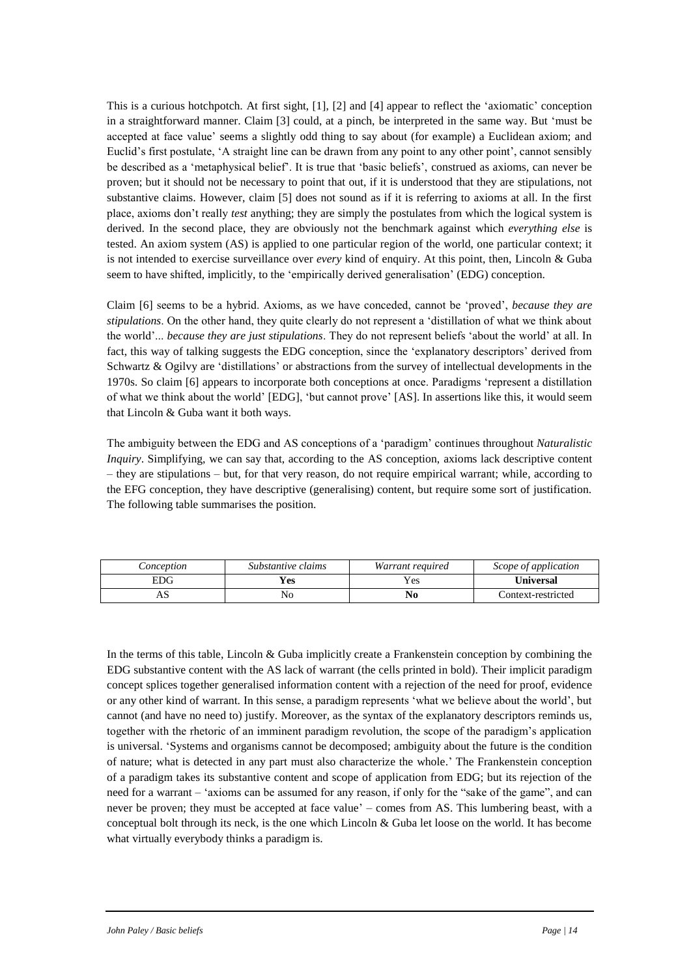This is a curious hotchpotch. At first sight, [1], [2] and [4] appear to reflect the 'axiomatic' conception in a straightforward manner. Claim [3] could, at a pinch, be interpreted in the same way. But 'must be accepted at face value' seems a slightly odd thing to say about (for example) a Euclidean axiom; and Euclid's first postulate, 'A straight line can be drawn from any point to any other point', cannot sensibly be described as a 'metaphysical belief'. It is true that 'basic beliefs', construed as axioms, can never be proven; but it should not be necessary to point that out, if it is understood that they are stipulations, not substantive claims. However, claim [5] does not sound as if it is referring to axioms at all. In the first place, axioms don't really *test* anything; they are simply the postulates from which the logical system is derived. In the second place, they are obviously not the benchmark against which *everything else* is tested. An axiom system (AS) is applied to one particular region of the world, one particular context; it is not intended to exercise surveillance over *every* kind of enquiry. At this point, then, Lincoln & Guba seem to have shifted, implicitly, to the 'empirically derived generalisation' (EDG) conception.

Claim [6] seems to be a hybrid. Axioms, as we have conceded, cannot be 'proved', *because they are stipulations*. On the other hand, they quite clearly do not represent a 'distillation of what we think about the world'... *because they are just stipulations*. They do not represent beliefs 'about the world' at all. In fact, this way of talking suggests the EDG conception, since the 'explanatory descriptors' derived from Schwartz & Ogilvy are 'distillations' or abstractions from the survey of intellectual developments in the 1970s. So claim [6] appears to incorporate both conceptions at once. Paradigms 'represent a distillation of what we think about the world' [EDG], 'but cannot prove' [AS]. In assertions like this, it would seem that Lincoln & Guba want it both ways.

The ambiguity between the EDG and AS conceptions of a 'paradigm' continues throughout *Naturalistic Inquiry*. Simplifying, we can say that, according to the AS conception, axioms lack descriptive content – they are stipulations – but, for that very reason, do not require empirical warrant; while, according to the EFG conception, they have descriptive (generalising) content, but require some sort of justification. The following table summarises the position.

| Conception | Substantive claims | Warrant required | Scope of application |
|------------|--------------------|------------------|----------------------|
| EDG.       | Yes                | Yes              | Universal            |
| αP         | NO                 | No               | Context-restricted   |

In the terms of this table, Lincoln & Guba implicitly create a Frankenstein conception by combining the EDG substantive content with the AS lack of warrant (the cells printed in bold). Their implicit paradigm concept splices together generalised information content with a rejection of the need for proof, evidence or any other kind of warrant. In this sense, a paradigm represents 'what we believe about the world', but cannot (and have no need to) justify. Moreover, as the syntax of the explanatory descriptors reminds us, together with the rhetoric of an imminent paradigm revolution, the scope of the paradigm's application is universal. 'Systems and organisms cannot be decomposed; ambiguity about the future is the condition of nature; what is detected in any part must also characterize the whole.' The Frankenstein conception of a paradigm takes its substantive content and scope of application from EDG; but its rejection of the need for a warrant – 'axioms can be assumed for any reason, if only for the "sake of the game", and can never be proven; they must be accepted at face value' – comes from AS. This lumbering beast, with a conceptual bolt through its neck, is the one which Lincoln & Guba let loose on the world. It has become what virtually everybody thinks a paradigm is.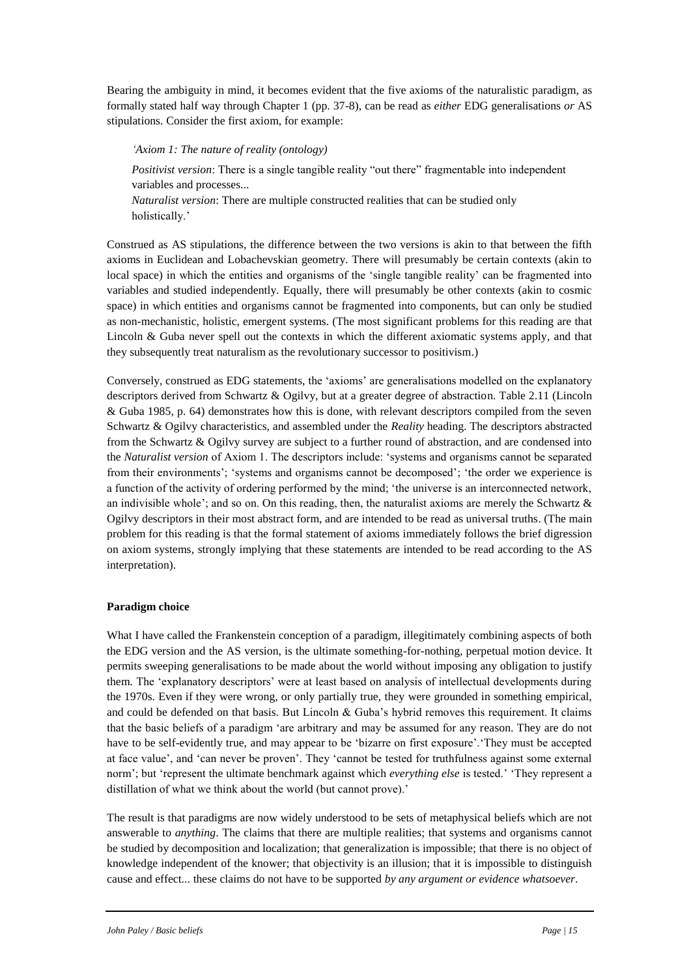Bearing the ambiguity in mind, it becomes evident that the five axioms of the naturalistic paradigm, as formally stated half way through Chapter 1 (pp. 37-8), can be read as *either* EDG generalisations *or* AS stipulations. Consider the first axiom, for example:

# *'Axiom 1: The nature of reality (ontology)*

*Positivist version*: There is a single tangible reality "out there" fragmentable into independent variables and processes...

*Naturalist version*: There are multiple constructed realities that can be studied only holistically.'

Construed as AS stipulations, the difference between the two versions is akin to that between the fifth axioms in Euclidean and Lobachevskian geometry. There will presumably be certain contexts (akin to local space) in which the entities and organisms of the 'single tangible reality' can be fragmented into variables and studied independently. Equally, there will presumably be other contexts (akin to cosmic space) in which entities and organisms cannot be fragmented into components, but can only be studied as non-mechanistic, holistic, emergent systems. (The most significant problems for this reading are that Lincoln & Guba never spell out the contexts in which the different axiomatic systems apply, and that they subsequently treat naturalism as the revolutionary successor to positivism.)

Conversely, construed as EDG statements, the 'axioms' are generalisations modelled on the explanatory descriptors derived from Schwartz & Ogilvy, but at a greater degree of abstraction. Table 2.11 (Lincoln & Guba 1985, p. 64) demonstrates how this is done, with relevant descriptors compiled from the seven Schwartz & Ogilvy characteristics, and assembled under the *Reality* heading. The descriptors abstracted from the Schwartz & Ogilvy survey are subject to a further round of abstraction, and are condensed into the *Naturalist version* of Axiom 1. The descriptors include: 'systems and organisms cannot be separated from their environments'; 'systems and organisms cannot be decomposed'; 'the order we experience is a function of the activity of ordering performed by the mind; 'the universe is an interconnected network, an indivisible whole'; and so on. On this reading, then, the naturalist axioms are merely the Schwartz  $\&$ Ogilvy descriptors in their most abstract form, and are intended to be read as universal truths. (The main problem for this reading is that the formal statement of axioms immediately follows the brief digression on axiom systems, strongly implying that these statements are intended to be read according to the AS interpretation).

# **Paradigm choice**

What I have called the Frankenstein conception of a paradigm, illegitimately combining aspects of both the EDG version and the AS version, is the ultimate something-for-nothing, perpetual motion device. It permits sweeping generalisations to be made about the world without imposing any obligation to justify them. The 'explanatory descriptors' were at least based on analysis of intellectual developments during the 1970s. Even if they were wrong, or only partially true, they were grounded in something empirical, and could be defended on that basis. But Lincoln  $\&$  Guba's hybrid removes this requirement. It claims that the basic beliefs of a paradigm 'are arbitrary and may be assumed for any reason. They are do not have to be self-evidently true, and may appear to be 'bizarre on first exposure'.'They must be accepted at face value', and 'can never be proven'. They 'cannot be tested for truthfulness against some external norm'; but 'represent the ultimate benchmark against which *everything else* is tested.' 'They represent a distillation of what we think about the world (but cannot prove).'

The result is that paradigms are now widely understood to be sets of metaphysical beliefs which are not answerable to *anything*. The claims that there are multiple realities; that systems and organisms cannot be studied by decomposition and localization; that generalization is impossible; that there is no object of knowledge independent of the knower; that objectivity is an illusion; that it is impossible to distinguish cause and effect... these claims do not have to be supported *by any argument or evidence whatsoever*.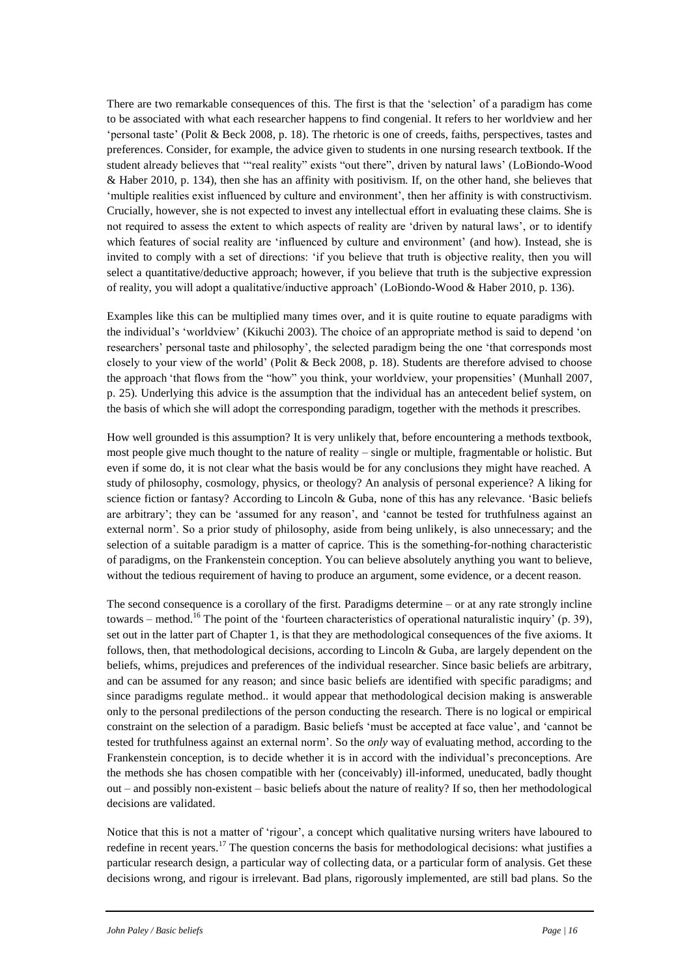There are two remarkable consequences of this. The first is that the 'selection' of a paradigm has come to be associated with what each researcher happens to find congenial. It refers to her worldview and her 'personal taste' (Polit & Beck 2008, p. 18). The rhetoric is one of creeds, faiths, perspectives, tastes and preferences. Consider, for example, the advice given to students in one nursing research textbook. If the student already believes that '"real reality" exists "out there", driven by natural laws' (LoBiondo-Wood & Haber 2010, p. 134), then she has an affinity with positivism. If, on the other hand, she believes that 'multiple realities exist influenced by culture and environment', then her affinity is with constructivism. Crucially, however, she is not expected to invest any intellectual effort in evaluating these claims. She is not required to assess the extent to which aspects of reality are 'driven by natural laws', or to identify which features of social reality are 'influenced by culture and environment' (and how). Instead, she is invited to comply with a set of directions: 'if you believe that truth is objective reality, then you will select a quantitative/deductive approach; however, if you believe that truth is the subjective expression of reality, you will adopt a qualitative/inductive approach' (LoBiondo-Wood & Haber 2010, p. 136).

Examples like this can be multiplied many times over, and it is quite routine to equate paradigms with the individual's 'worldview' (Kikuchi 2003). The choice of an appropriate method is said to depend 'on researchers' personal taste and philosophy', the selected paradigm being the one 'that corresponds most closely to your view of the world' (Polit & Beck 2008, p. 18). Students are therefore advised to choose the approach 'that flows from the "how" you think, your worldview, your propensities' (Munhall 2007, p. 25). Underlying this advice is the assumption that the individual has an antecedent belief system, on the basis of which she will adopt the corresponding paradigm, together with the methods it prescribes.

How well grounded is this assumption? It is very unlikely that, before encountering a methods textbook, most people give much thought to the nature of reality – single or multiple, fragmentable or holistic. But even if some do, it is not clear what the basis would be for any conclusions they might have reached. A study of philosophy, cosmology, physics, or theology? An analysis of personal experience? A liking for science fiction or fantasy? According to Lincoln & Guba, none of this has any relevance. 'Basic beliefs are arbitrary'; they can be 'assumed for any reason', and 'cannot be tested for truthfulness against an external norm'. So a prior study of philosophy, aside from being unlikely, is also unnecessary; and the selection of a suitable paradigm is a matter of caprice. This is the something-for-nothing characteristic of paradigms, on the Frankenstein conception. You can believe absolutely anything you want to believe, without the tedious requirement of having to produce an argument, some evidence, or a decent reason.

The second consequence is a corollary of the first. Paradigms determine – or at any rate strongly incline towards – method.<sup>16</sup> The point of the 'fourteen characteristics of operational naturalistic inquiry' (p. 39), set out in the latter part of Chapter 1, is that they are methodological consequences of the five axioms. It follows, then, that methodological decisions, according to Lincoln & Guba, are largely dependent on the beliefs, whims, prejudices and preferences of the individual researcher. Since basic beliefs are arbitrary, and can be assumed for any reason; and since basic beliefs are identified with specific paradigms; and since paradigms regulate method.. it would appear that methodological decision making is answerable only to the personal predilections of the person conducting the research. There is no logical or empirical constraint on the selection of a paradigm. Basic beliefs 'must be accepted at face value', and 'cannot be tested for truthfulness against an external norm'. So the *only* way of evaluating method, according to the Frankenstein conception, is to decide whether it is in accord with the individual's preconceptions. Are the methods she has chosen compatible with her (conceivably) ill-informed, uneducated, badly thought out – and possibly non-existent – basic beliefs about the nature of reality? If so, then her methodological decisions are validated.

Notice that this is not a matter of 'rigour', a concept which qualitative nursing writers have laboured to redefine in recent years.<sup>17</sup> The question concerns the basis for methodological decisions: what justifies a particular research design, a particular way of collecting data, or a particular form of analysis. Get these decisions wrong, and rigour is irrelevant. Bad plans, rigorously implemented, are still bad plans. So the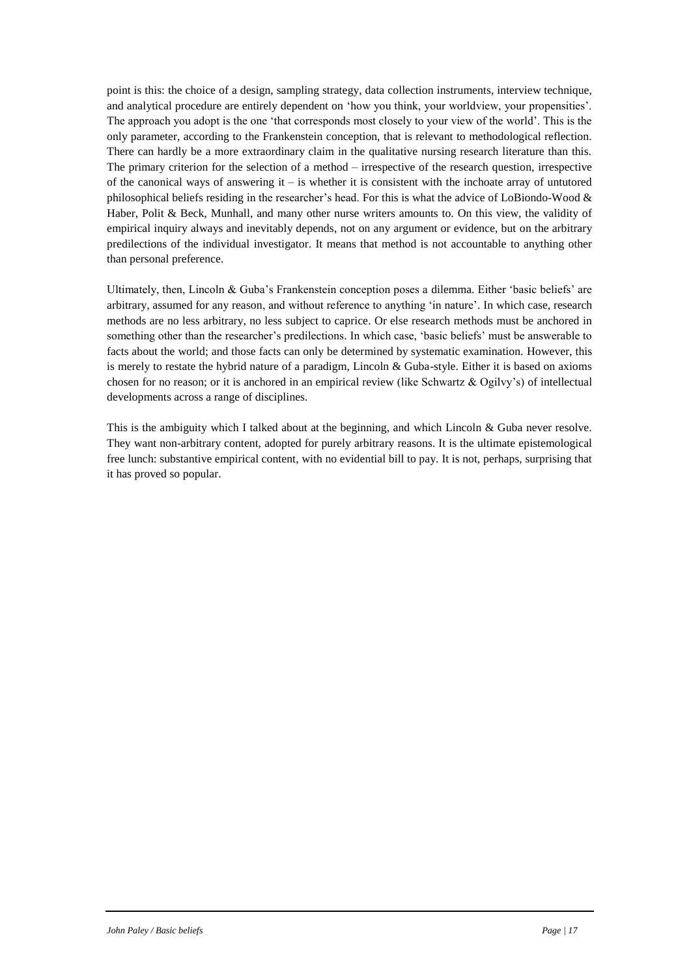point is this: the choice of a design, sampling strategy, data collection instruments, interview technique, and analytical procedure are entirely dependent on 'how you think, your worldview, your propensities'. The approach you adopt is the one 'that corresponds most closely to your view of the world'. This is the only parameter, according to the Frankenstein conception, that is relevant to methodological reflection. There can hardly be a more extraordinary claim in the qualitative nursing research literature than this. The primary criterion for the selection of a method – irrespective of the research question, irrespective of the canonical ways of answering it – is whether it is consistent with the inchoate array of untutored philosophical beliefs residing in the researcher's head. For this is what the advice of LoBiondo-Wood & Haber, Polit & Beck, Munhall, and many other nurse writers amounts to. On this view, the validity of empirical inquiry always and inevitably depends, not on any argument or evidence, but on the arbitrary predilections of the individual investigator. It means that method is not accountable to anything other than personal preference.

Ultimately, then, Lincoln & Guba's Frankenstein conception poses a dilemma. Either 'basic beliefs' are arbitrary, assumed for any reason, and without reference to anything 'in nature'. In which case, research methods are no less arbitrary, no less subject to caprice. Or else research methods must be anchored in something other than the researcher's predilections. In which case, 'basic beliefs' must be answerable to facts about the world; and those facts can only be determined by systematic examination. However, this is merely to restate the hybrid nature of a paradigm, Lincoln & Guba-style. Either it is based on axioms chosen for no reason; or it is anchored in an empirical review (like Schwartz & Ogilvy's) of intellectual developments across a range of disciplines.

This is the ambiguity which I talked about at the beginning, and which Lincoln & Guba never resolve. They want non-arbitrary content, adopted for purely arbitrary reasons. It is the ultimate epistemological free lunch: substantive empirical content, with no evidential bill to pay. It is not, perhaps, surprising that it has proved so popular.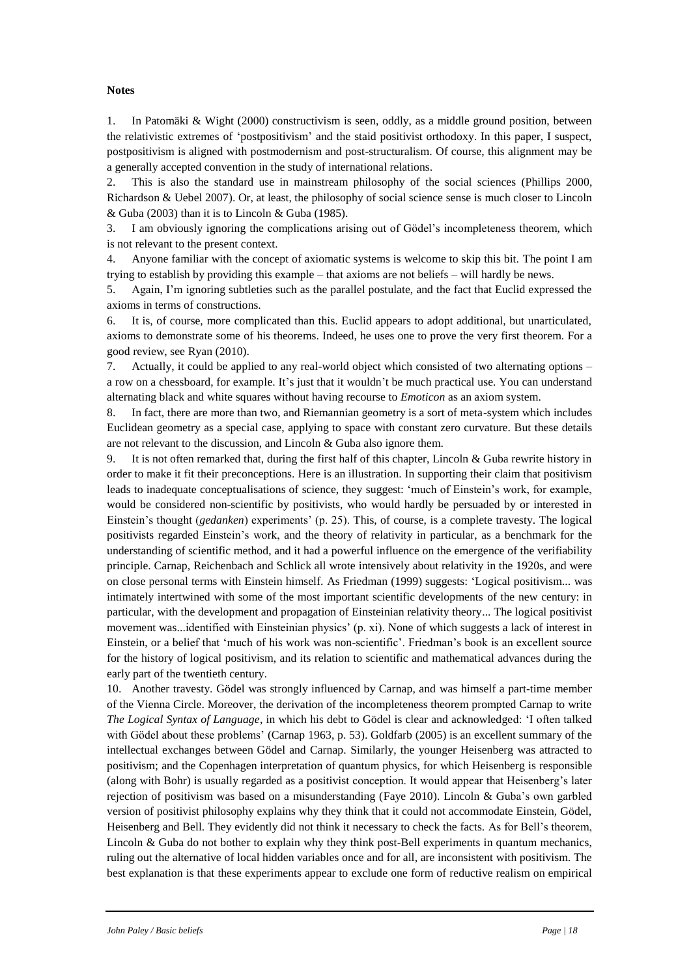## **Notes**

1. In Patomäki & Wight (2000) constructivism is seen, oddly, as a middle ground position, between the relativistic extremes of 'postpositivism' and the staid positivist orthodoxy. In this paper, I suspect, postpositivism is aligned with postmodernism and post-structuralism. Of course, this alignment may be a generally accepted convention in the study of international relations.

2. This is also the standard use in mainstream philosophy of the social sciences (Phillips 2000, Richardson & Uebel 2007). Or, at least, the philosophy of social science sense is much closer to Lincoln & Guba (2003) than it is to Lincoln & Guba (1985).

3. I am obviously ignoring the complications arising out of Gödel's incompleteness theorem, which is not relevant to the present context.

4. Anyone familiar with the concept of axiomatic systems is welcome to skip this bit. The point I am trying to establish by providing this example – that axioms are not beliefs – will hardly be news.

5. Again, I'm ignoring subtleties such as the parallel postulate, and the fact that Euclid expressed the axioms in terms of constructions.

6. It is, of course, more complicated than this. Euclid appears to adopt additional, but unarticulated, axioms to demonstrate some of his theorems. Indeed, he uses one to prove the very first theorem. For a good review, see Ryan (2010).

7. Actually, it could be applied to any real-world object which consisted of two alternating options – a row on a chessboard, for example. It's just that it wouldn't be much practical use. You can understand alternating black and white squares without having recourse to *Emoticon* as an axiom system.

8. In fact, there are more than two, and Riemannian geometry is a sort of meta-system which includes Euclidean geometry as a special case, applying to space with constant zero curvature. But these details are not relevant to the discussion, and Lincoln & Guba also ignore them.

9. It is not often remarked that, during the first half of this chapter, Lincoln & Guba rewrite history in order to make it fit their preconceptions. Here is an illustration. In supporting their claim that positivism leads to inadequate conceptualisations of science, they suggest: 'much of Einstein's work, for example, would be considered non-scientific by positivists, who would hardly be persuaded by or interested in Einstein's thought (*gedanken*) experiments' (p. 25). This, of course, is a complete travesty. The logical positivists regarded Einstein's work, and the theory of relativity in particular, as a benchmark for the understanding of scientific method, and it had a powerful influence on the emergence of the verifiability principle. Carnap, Reichenbach and Schlick all wrote intensively about relativity in the 1920s, and were on close personal terms with Einstein himself. As Friedman (1999) suggests: 'Logical positivism... was intimately intertwined with some of the most important scientific developments of the new century: in particular, with the development and propagation of Einsteinian relativity theory... The logical positivist movement was...identified with Einsteinian physics' (p. xi). None of which suggests a lack of interest in Einstein, or a belief that 'much of his work was non-scientific'. Friedman's book is an excellent source for the history of logical positivism, and its relation to scientific and mathematical advances during the early part of the twentieth century.

10. Another travesty. Gödel was strongly influenced by Carnap, and was himself a part-time member of the Vienna Circle. Moreover, the derivation of the incompleteness theorem prompted Carnap to write *The Logical Syntax of Language*, in which his debt to Gödel is clear and acknowledged: 'I often talked with Gödel about these problems' (Carnap 1963, p. 53). Goldfarb (2005) is an excellent summary of the intellectual exchanges between Gödel and Carnap. Similarly, the younger Heisenberg was attracted to positivism; and the Copenhagen interpretation of quantum physics, for which Heisenberg is responsible (along with Bohr) is usually regarded as a positivist conception. It would appear that Heisenberg's later rejection of positivism was based on a misunderstanding (Faye 2010). Lincoln & Guba's own garbled version of positivist philosophy explains why they think that it could not accommodate Einstein, Gödel, Heisenberg and Bell. They evidently did not think it necessary to check the facts. As for Bell's theorem, Lincoln & Guba do not bother to explain why they think post-Bell experiments in quantum mechanics, ruling out the alternative of local hidden variables once and for all, are inconsistent with positivism. The best explanation is that these experiments appear to exclude one form of reductive realism on empirical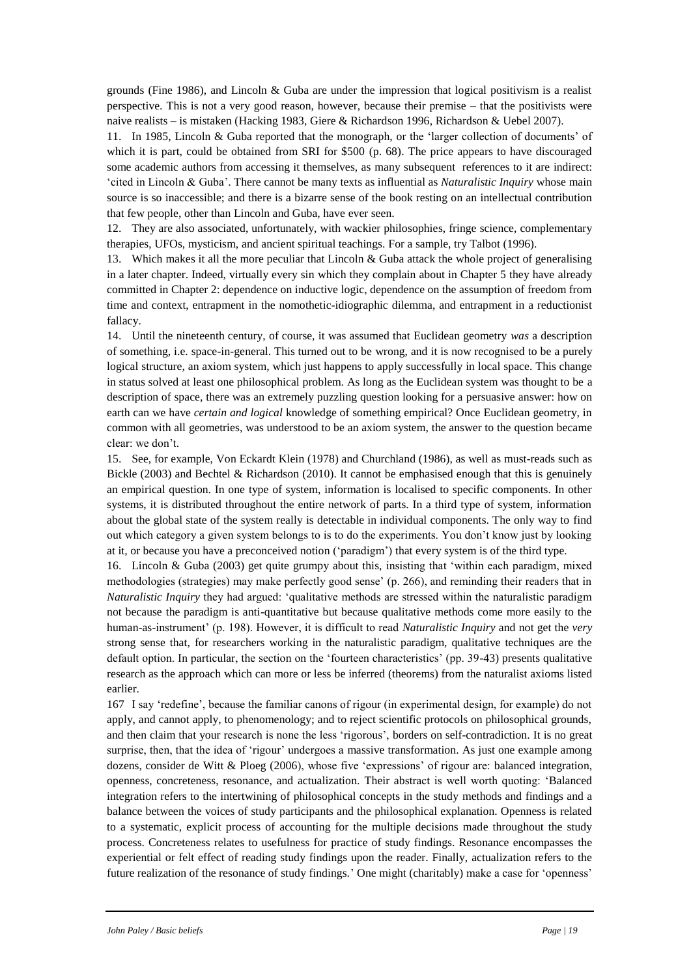grounds (Fine 1986), and Lincoln & Guba are under the impression that logical positivism is a realist perspective. This is not a very good reason, however, because their premise – that the positivists were naive realists – is mistaken (Hacking 1983, Giere & Richardson 1996, Richardson & Uebel 2007).

11. In 1985, Lincoln & Guba reported that the monograph, or the 'larger collection of documents' of which it is part, could be obtained from SRI for \$500 (p. 68). The price appears to have discouraged some academic authors from accessing it themselves, as many subsequent references to it are indirect: 'cited in Lincoln & Guba'. There cannot be many texts as influential as *Naturalistic Inquiry* whose main source is so inaccessible; and there is a bizarre sense of the book resting on an intellectual contribution that few people, other than Lincoln and Guba, have ever seen.

12. They are also associated, unfortunately, with wackier philosophies, fringe science, complementary therapies, UFOs, mysticism, and ancient spiritual teachings. For a sample, try Talbot (1996).

13. Which makes it all the more peculiar that Lincoln & Guba attack the whole project of generalising in a later chapter. Indeed, virtually every sin which they complain about in Chapter 5 they have already committed in Chapter 2: dependence on inductive logic, dependence on the assumption of freedom from time and context, entrapment in the nomothetic-idiographic dilemma, and entrapment in a reductionist fallacy.

14. Until the nineteenth century, of course, it was assumed that Euclidean geometry *was* a description of something, i.e. space-in-general. This turned out to be wrong, and it is now recognised to be a purely logical structure, an axiom system, which just happens to apply successfully in local space. This change in status solved at least one philosophical problem. As long as the Euclidean system was thought to be a description of space, there was an extremely puzzling question looking for a persuasive answer: how on earth can we have *certain and logical* knowledge of something empirical? Once Euclidean geometry, in common with all geometries, was understood to be an axiom system, the answer to the question became clear: we don't.

15. See, for example, Von Eckardt Klein (1978) and Churchland (1986), as well as must-reads such as Bickle (2003) and Bechtel & Richardson (2010). It cannot be emphasised enough that this is genuinely an empirical question. In one type of system, information is localised to specific components. In other systems, it is distributed throughout the entire network of parts. In a third type of system, information about the global state of the system really is detectable in individual components. The only way to find out which category a given system belongs to is to do the experiments. You don't know just by looking at it, or because you have a preconceived notion ('paradigm') that every system is of the third type.

16. Lincoln & Guba (2003) get quite grumpy about this, insisting that 'within each paradigm, mixed methodologies (strategies) may make perfectly good sense' (p. 266), and reminding their readers that in *Naturalistic Inquiry* they had argued: 'qualitative methods are stressed within the naturalistic paradigm not because the paradigm is anti-quantitative but because qualitative methods come more easily to the human-as-instrument' (p. 198). However, it is difficult to read *Naturalistic Inquiry* and not get the *very* strong sense that, for researchers working in the naturalistic paradigm, qualitative techniques are the default option. In particular, the section on the 'fourteen characteristics' (pp. 39-43) presents qualitative research as the approach which can more or less be inferred (theorems) from the naturalist axioms listed earlier.

167 I say 'redefine', because the familiar canons of rigour (in experimental design, for example) do not apply, and cannot apply, to phenomenology; and to reject scientific protocols on philosophical grounds, and then claim that your research is none the less 'rigorous', borders on self-contradiction. It is no great surprise, then, that the idea of 'rigour' undergoes a massive transformation. As just one example among dozens, consider de Witt & Ploeg (2006), whose five 'expressions' of rigour are: balanced integration, openness, concreteness, resonance, and actualization. Their abstract is well worth quoting: 'Balanced integration refers to the intertwining of philosophical concepts in the study methods and findings and a balance between the voices of study participants and the philosophical explanation. Openness is related to a systematic, explicit process of accounting for the multiple decisions made throughout the study process. Concreteness relates to usefulness for practice of study findings. Resonance encompasses the experiential or felt effect of reading study findings upon the reader. Finally, actualization refers to the future realization of the resonance of study findings.' One might (charitably) make a case for 'openness'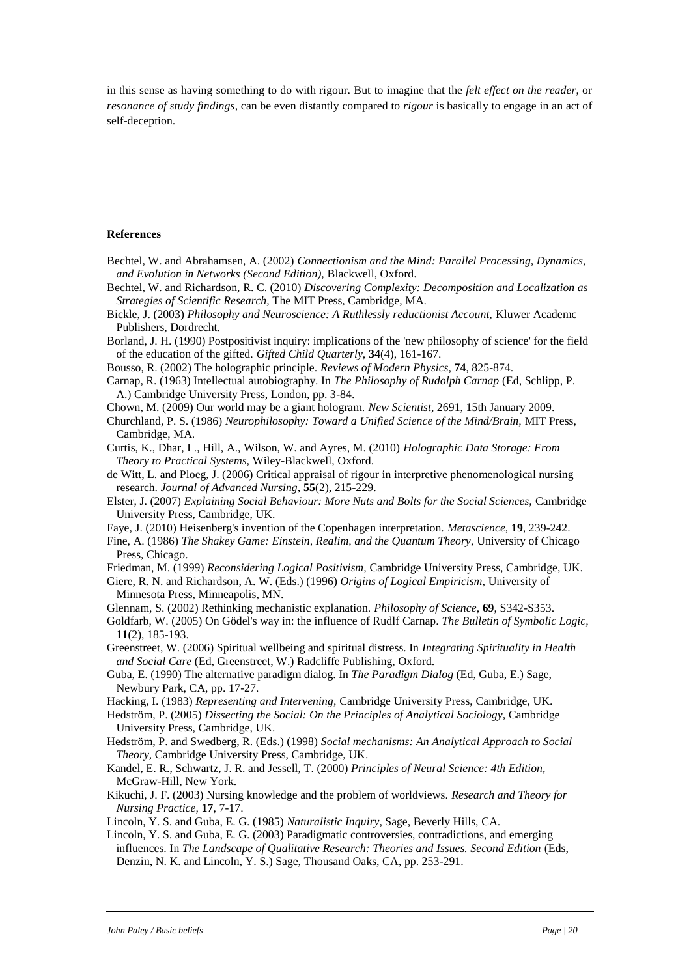in this sense as having something to do with rigour. But to imagine that the *felt effect on the reader*, or *resonance of study findings*, can be even distantly compared to *rigour* is basically to engage in an act of self-deception.

#### **References**

- Bechtel, W. and Abrahamsen, A. (2002) *Connectionism and the Mind: Parallel Processing, Dynamics, and Evolution in Networks (Second Edition),* Blackwell, Oxford.
- Bechtel, W. and Richardson, R. C. (2010) *Discovering Complexity: Decomposition and Localization as Strategies of Scientific Research,* The MIT Press, Cambridge, MA.
- Bickle, J. (2003) *Philosophy and Neuroscience: A Ruthlessly reductionist Account,* Kluwer Academc Publishers, Dordrecht.
- Borland, J. H. (1990) Postpositivist inquiry: implications of the 'new philosophy of science' for the field of the education of the gifted. *Gifted Child Quarterly,* **34**(4), 161-167.
- Bousso, R. (2002) The holographic principle. *Reviews of Modern Physics,* **74**, 825-874.

Carnap, R. (1963) Intellectual autobiography. In *The Philosophy of Rudolph Carnap* (Ed, Schlipp, P. A.) Cambridge University Press, London, pp. 3-84.

- Chown, M. (2009) Our world may be a giant hologram. *New Scientist*, 2691, 15th January 2009.
- Churchland, P. S. (1986) *Neurophilosophy: Toward a Unified Science of the Mind/Brain,* MIT Press, Cambridge, MA.
- Curtis, K., Dhar, L., Hill, A., Wilson, W. and Ayres, M. (2010) *Holographic Data Storage: From Theory to Practical Systems,* Wiley-Blackwell, Oxford.
- de Witt, L. and Ploeg, J. (2006) Critical appraisal of rigour in interpretive phenomenological nursing research. *Journal of Advanced Nursing,* **55**(2), 215-229.
- Elster, J. (2007) *Explaining Social Behaviour: More Nuts and Bolts for the Social Sciences,* Cambridge University Press, Cambridge, UK.
- Faye, J. (2010) Heisenberg's invention of the Copenhagen interpretation. *Metascience,* **19**, 239-242.
- Fine, A. (1986) *The Shakey Game: Einstein, Realim, and the Quantum Theory,* University of Chicago Press, Chicago.

Friedman, M. (1999) *Reconsidering Logical Positivism,* Cambridge University Press, Cambridge, UK.

Giere, R. N. and Richardson, A. W. (Eds.) (1996) *Origins of Logical Empiricism,* University of Minnesota Press, Minneapolis, MN.

Glennam, S. (2002) Rethinking mechanistic explanation. *Philosophy of Science,* **69**, S342-S353.

- Goldfarb, W. (2005) On Gödel's way in: the influence of Rudlf Carnap. *The Bulletin of Symbolic Logic,* **11**(2), 185-193.
- Greenstreet, W. (2006) Spiritual wellbeing and spiritual distress. In *Integrating Spirituality in Health and Social Care* (Ed, Greenstreet, W.) Radcliffe Publishing, Oxford.
- Guba, E. (1990) The alternative paradigm dialog. In *The Paradigm Dialog* (Ed, Guba, E.) Sage, Newbury Park, CA, pp. 17-27.
- Hacking, I. (1983) *Representing and Intervening,* Cambridge University Press, Cambridge, UK.
- Hedström, P. (2005) *Dissecting the Social: On the Principles of Analytical Sociology,* Cambridge University Press, Cambridge, UK.
- Hedström, P. and Swedberg, R. (Eds.) (1998) *Social mechanisms: An Analytical Approach to Social Theory,* Cambridge University Press, Cambridge, UK.
- Kandel, E. R., Schwartz, J. R. and Jessell, T. (2000) *Principles of Neural Science: 4th Edition,*  McGraw-Hill, New York.
- Kikuchi, J. F. (2003) Nursing knowledge and the problem of worldviews. *Research and Theory for Nursing Practice,* **17**, 7-17.
- Lincoln, Y. S. and Guba, E. G. (1985) *Naturalistic Inquiry,* Sage, Beverly Hills, CA.
- Lincoln, Y. S. and Guba, E. G. (2003) Paradigmatic controversies, contradictions, and emerging influences. In *The Landscape of Qualitative Research: Theories and Issues. Second Edition* (Eds, Denzin, N. K. and Lincoln, Y. S.) Sage, Thousand Oaks, CA, pp. 253-291.